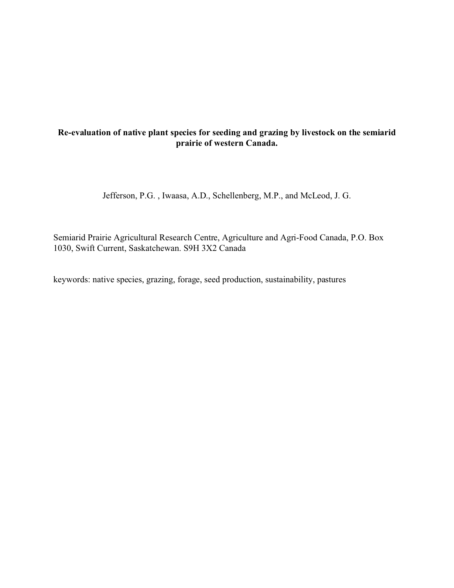# **Re-evaluation of native plant species for seeding and grazing by livestock on the semiarid prairie of western Canada.**

Jefferson, P.G. , Iwaasa, A.D., Schellenberg, M.P., and McLeod, J. G.

Semiarid Prairie Agricultural Research Centre, Agriculture and Agri-Food Canada, P.O. Box 1030, Swift Current, Saskatchewan. S9H 3X2 Canada

keywords: native species, grazing, forage, seed production, sustainability, pastures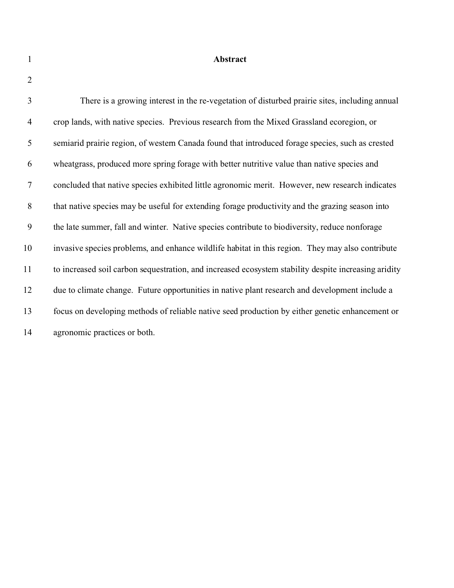**Abstract**

| 3              | There is a growing interest in the re-vegetation of disturbed prairie sites, including annual        |
|----------------|------------------------------------------------------------------------------------------------------|
| $\overline{4}$ | crop lands, with native species. Previous research from the Mixed Grassland ecoregion, or            |
| 5              | semiarid prairie region, of western Canada found that introduced forage species, such as crested     |
| 6              | wheatgrass, produced more spring forage with better nutritive value than native species and          |
| $\tau$         | concluded that native species exhibited little agronomic merit. However, new research indicates      |
| 8              | that native species may be useful for extending forage productivity and the grazing season into      |
| 9              | the late summer, fall and winter. Native species contribute to biodiversity, reduce nonforage        |
| 10             | invasive species problems, and enhance wildlife habitat in this region. They may also contribute     |
| 11             | to increased soil carbon sequestration, and increased ecosystem stability despite increasing aridity |
| 12             | due to climate change. Future opportunities in native plant research and development include a       |
| 13             | focus on developing methods of reliable native seed production by either genetic enhancement or      |
| 14             | agronomic practices or both.                                                                         |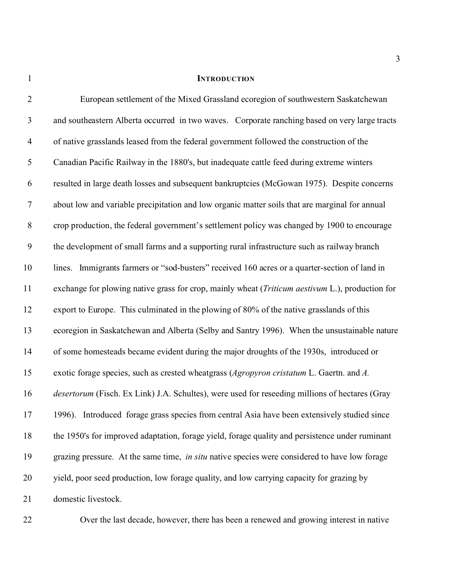# **INTRODUCTION**

| $\overline{2}$   | European settlement of the Mixed Grassland ecoregion of southwestern Saskatchewan                        |
|------------------|----------------------------------------------------------------------------------------------------------|
| $\mathfrak{Z}$   | and southeastern Alberta occurred in two waves. Corporate ranching based on very large tracts            |
| $\overline{4}$   | of native grasslands leased from the federal government followed the construction of the                 |
| 5                | Canadian Pacific Railway in the 1880's, but inadequate cattle feed during extreme winters                |
| 6                | resulted in large death losses and subsequent bankruptcies (McGowan 1975). Despite concerns              |
| $\tau$           | about low and variable precipitation and low organic matter soils that are marginal for annual           |
| $8\,$            | crop production, the federal government's settlement policy was changed by 1900 to encourage             |
| $\boldsymbol{9}$ | the development of small farms and a supporting rural infrastructure such as railway branch              |
| 10               | lines. Immigrants farmers or "sod-busters" received 160 acres or a quarter-section of land in            |
| 11               | exchange for plowing native grass for crop, mainly wheat ( <i>Triticum aestivum L.</i> ), production for |
| 12               | export to Europe. This culminated in the plowing of 80% of the native grasslands of this                 |
| 13               | ecoregion in Saskatchewan and Alberta (Selby and Santry 1996). When the unsustainable nature             |
| 14               | of some homesteads became evident during the major droughts of the 1930s, introduced or                  |
| 15               | exotic forage species, such as crested wheatgrass (Agropyron cristatum L. Gaertn. and A.                 |
| 16               | desertorum (Fisch. Ex Link) J.A. Schultes), were used for reseeding millions of hectares (Gray           |
| 17               | 1996). Introduced forage grass species from central Asia have been extensively studied since             |
| 18               | the 1950's for improved adaptation, forage yield, forage quality and persistence under ruminant          |
| 19               | grazing pressure. At the same time, in situ native species were considered to have low forage            |
| 20               | yield, poor seed production, low forage quality, and low carrying capacity for grazing by                |
| 21               | domestic livestock.                                                                                      |

Over the last decade, however, there has been a renewed and growing interest in native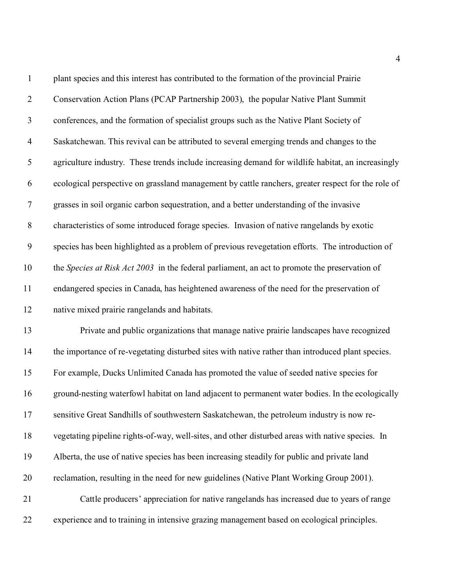| $\mathbf{1}$     | plant species and this interest has contributed to the formation of the provincial Prairie         |
|------------------|----------------------------------------------------------------------------------------------------|
| $\overline{2}$   | Conservation Action Plans (PCAP Partnership 2003), the popular Native Plant Summit                 |
| $\mathfrak{Z}$   | conferences, and the formation of specialist groups such as the Native Plant Society of            |
| $\overline{4}$   | Saskatchewan. This revival can be attributed to several emerging trends and changes to the         |
| 5                | agriculture industry. These trends include increasing demand for wildlife habitat, an increasingly |
| 6                | ecological perspective on grassland management by cattle ranchers, greater respect for the role of |
| 7                | grasses in soil organic carbon sequestration, and a better understanding of the invasive           |
| $8\,$            | characteristics of some introduced forage species. Invasion of native rangelands by exotic         |
| $\boldsymbol{9}$ | species has been highlighted as a problem of previous revegetation efforts. The introduction of    |
| 10               | the Species at Risk Act 2003 in the federal parliament, an act to promote the preservation of      |
| 11               | endangered species in Canada, has heightened awareness of the need for the preservation of         |
| 12               | native mixed prairie rangelands and habitats.                                                      |
| 13               | Private and public organizations that manage native prairie landscapes have recognized             |
| 14               | the importance of re-vegetating disturbed sites with native rather than introduced plant species.  |
| 15               | For example, Ducks Unlimited Canada has promoted the value of seeded native species for            |
| 16               | ground-nesting waterfowl habitat on land adjacent to permanent water bodies. In the ecologically   |
| 17               | sensitive Great Sandhills of southwestern Saskatchewan, the petroleum industry is now re-          |
| 18               | vegetating pipeline rights-of-way, well-sites, and other disturbed areas with native species. In   |
| 19               | Alberta, the use of native species has been increasing steadily for public and private land        |
| 20               | reclamation, resulting in the need for new guidelines (Native Plant Working Group 2001).           |
| 21               | Cattle producers' appreciation for native rangelands has increased due to years of range           |
| 22               | experience and to training in intensive grazing management based on ecological principles.         |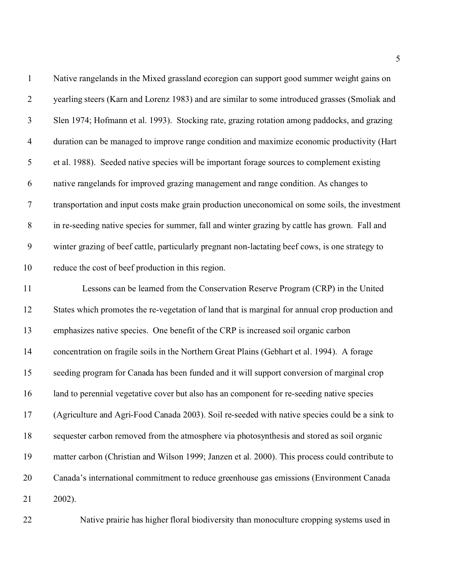| $\mathbf{1}$   | Native rangelands in the Mixed grassland ecoregion can support good summer weight gains on       |
|----------------|--------------------------------------------------------------------------------------------------|
| $\overline{2}$ | yearling steers (Karn and Lorenz 1983) and are similar to some introduced grasses (Smoliak and   |
| $\mathfrak{Z}$ | Slen 1974; Hofmann et al. 1993). Stocking rate, grazing rotation among paddocks, and grazing     |
| $\overline{4}$ | duration can be managed to improve range condition and maximize economic productivity (Hart      |
| $\mathfrak s$  | et al. 1988). Seeded native species will be important forage sources to complement existing      |
| 6              | native rangelands for improved grazing management and range condition. As changes to             |
| $\overline{7}$ | transportation and input costs make grain production uneconomical on some soils, the investment  |
| $8\,$          | in re-seeding native species for summer, fall and winter grazing by cattle has grown. Fall and   |
| 9              | winter grazing of beef cattle, particularly pregnant non-lactating beef cows, is one strategy to |
| 10             | reduce the cost of beef production in this region.                                               |
| 11             | Lessons can be learned from the Conservation Reserve Program (CRP) in the United                 |
| 12             | States which promotes the re-vegetation of land that is marginal for annual crop production and  |
| 13             | emphasizes native species. One benefit of the CRP is increased soil organic carbon               |
| 14             | concentration on fragile soils in the Northern Great Plains (Gebhart et al. 1994). A forage      |
| 15             | seeding program for Canada has been funded and it will support conversion of marginal crop       |
| 16             | land to perennial vegetative cover but also has an component for re-seeding native species       |
| 17             | (Agriculture and Agri-Food Canada 2003). Soil re-seeded with native species could be a sink to   |
| 18             | sequester carbon removed from the atmosphere via photosynthesis and stored as soil organic       |
| 19             | matter carbon (Christian and Wilson 1999; Janzen et al. 2000). This process could contribute to  |
| 20             | Canada's international commitment to reduce greenhouse gas emissions (Environment Canada         |
| 21             | 2002).                                                                                           |
|                |                                                                                                  |

Native prairie has higher floral biodiversity than monoculture cropping systems used in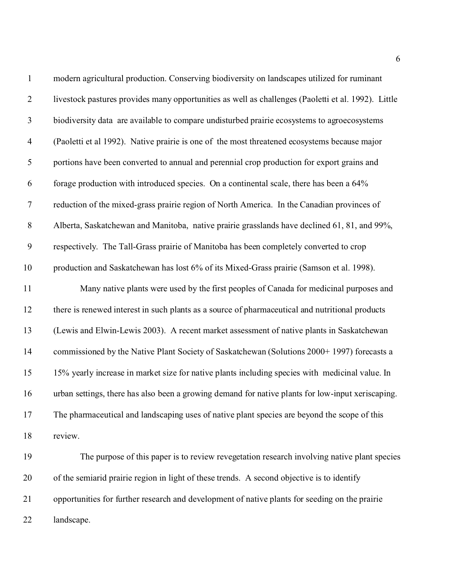| $\mathbf{1}$     | modern agricultural production. Conserving biodiversity on landscapes utilized for ruminant         |
|------------------|-----------------------------------------------------------------------------------------------------|
| $\overline{2}$   | livestock pastures provides many opportunities as well as challenges (Paoletti et al. 1992). Little |
| $\mathfrak{Z}$   | biodiversity data are available to compare undisturbed prairie ecosystems to agroecosystems         |
| $\overline{4}$   | (Paoletti et al 1992). Native prairie is one of the most threatened ecosystems because major        |
| $\mathfrak s$    | portions have been converted to annual and perennial crop production for export grains and          |
| 6                | forage production with introduced species. On a continental scale, there has been a 64%             |
| $\tau$           | reduction of the mixed-grass prairie region of North America. In the Canadian provinces of          |
| $8\,$            | Alberta, Saskatchewan and Manitoba, native prairie grasslands have declined 61, 81, and 99%,        |
| $\boldsymbol{9}$ | respectively. The Tall-Grass prairie of Manitoba has been completely converted to crop              |
| 10               | production and Saskatchewan has lost 6% of its Mixed-Grass prairie (Samson et al. 1998).            |
| 11               | Many native plants were used by the first peoples of Canada for medicinal purposes and              |
| 12               | there is renewed interest in such plants as a source of pharmaceutical and nutritional products     |
| 13               | (Lewis and Elwin-Lewis 2003). A recent market assessment of native plants in Saskatchewan           |
| 14               | commissioned by the Native Plant Society of Saskatchewan (Solutions 2000+ 1997) forecasts a         |
| 15               | 15% yearly increase in market size for native plants including species with medicinal value. In     |
| 16               | urban settings, there has also been a growing demand for native plants for low-input xeriscaping.   |
| 17               | The pharmaceutical and landscaping uses of native plant species are beyond the scope of this        |
| 18               | review.                                                                                             |
| 19               | The purpose of this paper is to review revegetation research involving native plant species         |
| 20               | of the semiarid prairie region in light of these trends. A second objective is to identify          |
| 21               | opportunities for further research and development of native plants for seeding on the prairie      |
| 22               | landscape.                                                                                          |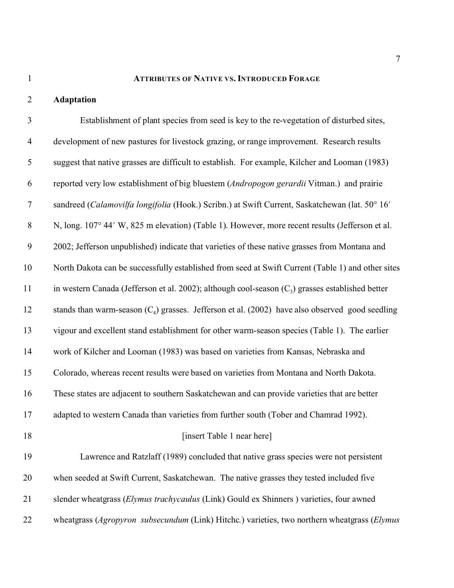# **ATTRIBUTES OF NATIVE VS. INTRODUCED FORAGE**

# **Adaptation**

| 3                | Establishment of plant species from seed is key to the re-vegetation of disturbed sites,           |
|------------------|----------------------------------------------------------------------------------------------------|
| $\overline{4}$   | development of new pastures for livestock grazing, or range improvement. Research results          |
| 5                | suggest that native grasses are difficult to establish. For example, Kilcher and Looman (1983)     |
| 6                | reported very low establishment of big bluestem (Andropogon gerardii Vitman.) and prairie          |
| $\boldsymbol{7}$ | sandreed (Calamovilfa longifolia (Hook.) Scribn.) at Swift Current, Saskatchewan (lat. 50° 16'     |
| $8\,$            | N, long. 107° 44′ W, 825 m elevation) (Table 1). However, more recent results (Jefferson et al.    |
| 9                | 2002; Jefferson unpublished) indicate that varieties of these native grasses from Montana and      |
| 10               | North Dakota can be successfully established from seed at Swift Current (Table 1) and other sites  |
| 11               | in western Canada (Jefferson et al. 2002); although cool-season $(C_3)$ grasses established better |
| 12               | stands than warm-season $(C_4)$ grasses. Jefferson et al. (2002) have also observed good seedling  |
| 13               | vigour and excellent stand establishment for other warm-season species (Table 1). The earlier      |
| 14               | work of Kilcher and Looman (1983) was based on varieties from Kansas, Nebraska and                 |
| 15               | Colorado, whereas recent results were based on varieties from Montana and North Dakota.            |
| 16               | These states are adjacent to southern Saskatchewan and can provide varieties that are better       |
| 17               | adapted to western Canada than varieties from further south (Tober and Chamrad 1992).              |
| 18               | [insert Table 1 near here]                                                                         |
| 19               | Lawrence and Ratzlaff (1989) concluded that native grass species were not persistent               |
| 20               | when seeded at Swift Current, Saskatchewan. The native grasses they tested included five           |
| 21               | slender wheatgrass (Elymus trachycaulus (Link) Gould ex Shinners) varieties, four awned            |
| 22               | wheatgrass (Agropyron subsecundum (Link) Hitchc.) varieties, two northern wheatgrass (Elymus       |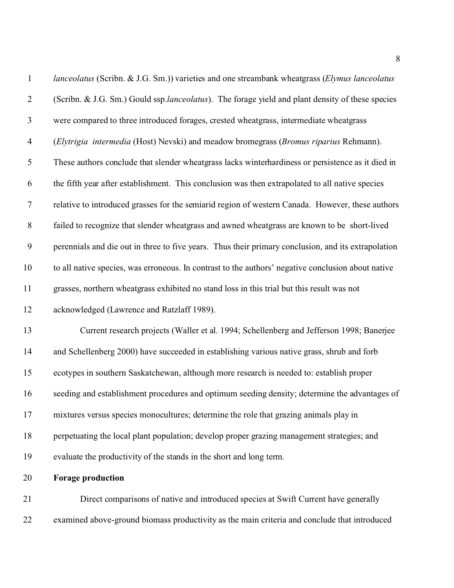| $\mathbf{1}$             | lanceolatus (Scribn. & J.G. Sm.)) varieties and one streambank wheatgrass (Elymus lanceolatus       |
|--------------------------|-----------------------------------------------------------------------------------------------------|
| $\overline{2}$           | (Scribn. & J.G. Sm.) Gould ssp.lanceolatus). The forage yield and plant density of these species    |
| $\mathfrak{Z}$           | were compared to three introduced forages, crested wheatgrass, intermediate wheatgrass              |
| $\overline{\mathcal{A}}$ | (Elytrigia intermedia (Host) Nevski) and meadow bromegrass (Bromus riparius Rehmann).               |
| 5                        | These authors conclude that slender wheatgrass lacks winterhardiness or persistence as it died in   |
| 6                        | the fifth year after establishment. This conclusion was then extrapolated to all native species     |
| $\boldsymbol{7}$         | relative to introduced grasses for the semiarid region of western Canada. However, these authors    |
| $8\,$                    | failed to recognize that slender wheatgrass and awned wheatgrass are known to be short-lived        |
| $\boldsymbol{9}$         | perennials and die out in three to five years. Thus their primary conclusion, and its extrapolation |
| 10                       | to all native species, was erroneous. In contrast to the authors' negative conclusion about native  |
| 11                       | grasses, northern wheatgrass exhibited no stand loss in this trial but this result was not          |
| 12                       | acknowledged (Lawrence and Ratzlaff 1989).                                                          |
| 13                       | Current research projects (Waller et al. 1994; Schellenberg and Jefferson 1998; Banerjee            |
| 14                       | and Schellenberg 2000) have succeeded in establishing various native grass, shrub and forb          |
| 15                       | ecotypes in southern Saskatchewan, although more research is needed to: establish proper            |
| 16                       | seeding and establishment procedures and optimum seeding density; determine the advantages of       |
| 17                       | mixtures versus species monocultures; determine the role that grazing animals play in               |
| 18                       | perpetuating the local plant population; develop proper grazing management strategies; and          |
| 19                       | evaluate the productivity of the stands in the short and long term.                                 |
| 20                       | <b>Forage production</b>                                                                            |
| 21                       | Direct comparisons of native and introduced species at Swift Current have generally                 |
| 22                       | examined above-ground biomass productivity as the main criteria and conclude that introduced        |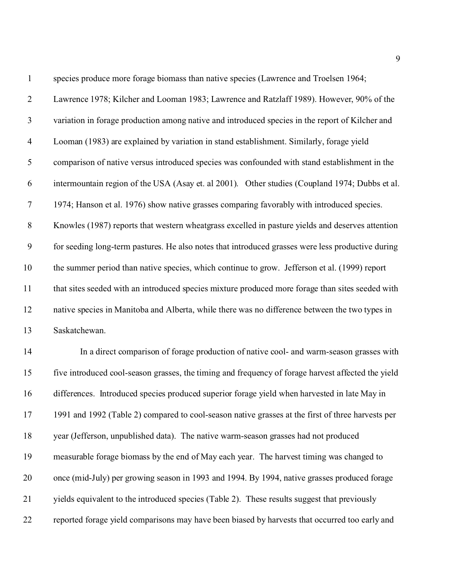| $\mathbf{1}$     | species produce more forage biomass than native species (Lawrence and Troelsen 1964;               |
|------------------|----------------------------------------------------------------------------------------------------|
| $\overline{2}$   | Lawrence 1978; Kilcher and Looman 1983; Lawrence and Ratzlaff 1989). However, 90% of the           |
| $\mathfrak{Z}$   | variation in forage production among native and introduced species in the report of Kilcher and    |
| $\overline{4}$   | Looman (1983) are explained by variation in stand establishment. Similarly, forage yield           |
| 5                | comparison of native versus introduced species was confounded with stand establishment in the      |
| 6                | intermountain region of the USA (Asay et. al 2001). Other studies (Coupland 1974; Dubbs et al.     |
| $\boldsymbol{7}$ | 1974; Hanson et al. 1976) show native grasses comparing favorably with introduced species.         |
| $8\phantom{1}$   | Knowles (1987) reports that western wheatgrass excelled in pasture yields and deserves attention   |
| $\boldsymbol{9}$ | for seeding long-term pastures. He also notes that introduced grasses were less productive during  |
| 10               | the summer period than native species, which continue to grow. Jefferson et al. (1999) report      |
| 11               | that sites seeded with an introduced species mixture produced more forage than sites seeded with   |
| 12               | native species in Manitoba and Alberta, while there was no difference between the two types in     |
| 13               | Saskatchewan.                                                                                      |
| 14               | In a direct comparison of forage production of native cool- and warm-season grasses with           |
| 15               | five introduced cool-season grasses, the timing and frequency of forage harvest affected the yield |
| 16               | differences. Introduced species produced superior forage yield when harvested in late May in       |
| 17               | 1991 and 1992 (Table 2) compared to cool-season native grasses at the first of three harvests per  |
| 18               | year (Jefferson, unpublished data). The native warm-season grasses had not produced                |
| 19               | measurable forage biomass by the end of May each year. The harvest timing was changed to           |
| 20               | once (mid-July) per growing season in 1993 and 1994. By 1994, native grasses produced forage       |
| 21               | yields equivalent to the introduced species (Table 2). These results suggest that previously       |
| 22               | reported forage yield comparisons may have been biased by harvests that occurred too early and     |
|                  |                                                                                                    |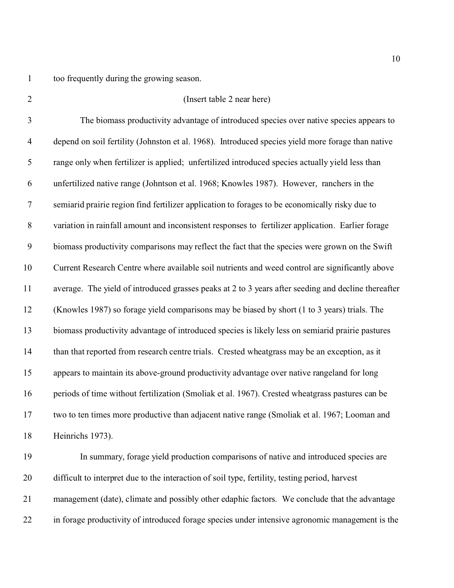too frequently during the growing season.

| $\overline{2}$ | (Insert table 2 near here)                                                                          |
|----------------|-----------------------------------------------------------------------------------------------------|
| 3              | The biomass productivity advantage of introduced species over native species appears to             |
| $\overline{4}$ | depend on soil fertility (Johnston et al. 1968). Introduced species yield more forage than native   |
| 5              | range only when fertilizer is applied; unfertilized introduced species actually yield less than     |
| 6              | unfertilized native range (Johntson et al. 1968; Knowles 1987). However, ranchers in the            |
| $\overline{7}$ | semiarid prairie region find fertilizer application to forages to be economically risky due to      |
| $8\,$          | variation in rainfall amount and inconsistent responses to fertilizer application. Earlier forage   |
| 9              | biomass productivity comparisons may reflect the fact that the species were grown on the Swift      |
| 10             | Current Research Centre where available soil nutrients and weed control are significantly above     |
| 11             | average. The yield of introduced grasses peaks at 2 to 3 years after seeding and decline thereafter |
| 12             | (Knowles 1987) so forage yield comparisons may be biased by short (1 to 3 years) trials. The        |
| 13             | biomass productivity advantage of introduced species is likely less on semiarid prairie pastures    |
| 14             | than that reported from research centre trials. Crested wheatgrass may be an exception, as it       |
| 15             | appears to maintain its above-ground productivity advantage over native rangeland for long          |
| 16             | periods of time without fertilization (Smoliak et al. 1967). Crested wheatgrass pastures can be     |
| 17             | two to ten times more productive than adjacent native range (Smoliak et al. 1967; Looman and        |
| 18             | Heinrichs 1973).                                                                                    |
| 19             | In summary, forage yield production comparisons of native and introduced species are                |
| 20             | difficult to interpret due to the interaction of soil type, fertility, testing period, harvest      |
| 21             | management (date), climate and possibly other edaphic factors. We conclude that the advantage       |

in forage productivity of introduced forage species under intensive agronomic management is the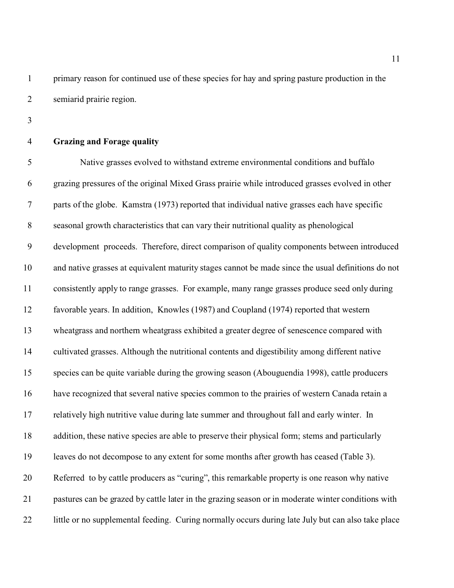primary reason for continued use of these species for hay and spring pasture production in the semiarid prairie region.

**Grazing and Forage quality**

 Native grasses evolved to withstand extreme environmental conditions and buffalo grazing pressures of the original Mixed Grass prairie while introduced grasses evolved in other parts of the globe. Kamstra (1973) reported that individual native grasses each have specific seasonal growth characteristics that can vary their nutritional quality as phenological development proceeds. Therefore, direct comparison of quality components between introduced and native grasses at equivalent maturity stages cannot be made since the usual definitions do not consistently apply to range grasses. For example, many range grasses produce seed only during favorable years. In addition, Knowles (1987) and Coupland (1974) reported that western wheatgrass and northern wheatgrass exhibited a greater degree of senescence compared with cultivated grasses. Although the nutritional contents and digestibility among different native species can be quite variable during the growing season (Abouguendia 1998), cattle producers have recognized that several native species common to the prairies of western Canada retain a relatively high nutritive value during late summer and throughout fall and early winter. In addition, these native species are able to preserve their physical form; stems and particularly leaves do not decompose to any extent for some months after growth has ceased (Table 3). Referred to by cattle producers as "curing", this remarkable property is one reason why native pastures can be grazed by cattle later in the grazing season or in moderate winter conditions with 22 little or no supplemental feeding. Curing normally occurs during late July but can also take place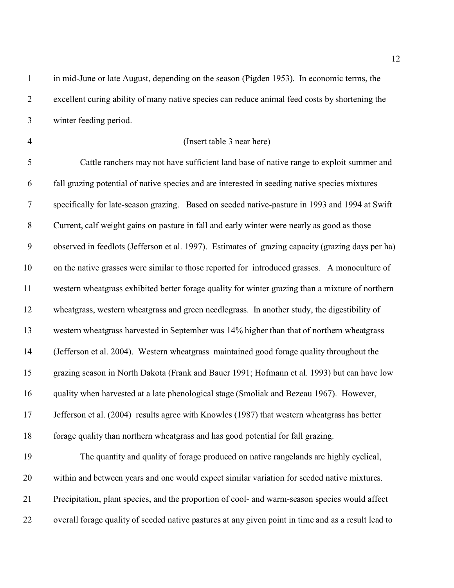in mid-June or late August, depending on the season (Pigden 1953). In economic terms, the excellent curing ability of many native species can reduce animal feed costs by shortening the winter feeding period.

### (Insert table 3 near here)

 Cattle ranchers may not have sufficient land base of native range to exploit summer and fall grazing potential of native species and are interested in seeding native species mixtures specifically for late-season grazing. Based on seeded native-pasture in 1993 and 1994 at Swift Current, calf weight gains on pasture in fall and early winter were nearly as good as those observed in feedlots (Jefferson et al. 1997). Estimates of grazing capacity (grazing days per ha) on the native grasses were similar to those reported for introduced grasses. A monoculture of western wheatgrass exhibited better forage quality for winter grazing than a mixture of northern wheatgrass, western wheatgrass and green needlegrass. In another study, the digestibility of western wheatgrass harvested in September was 14% higher than that of northern wheatgrass (Jefferson et al. 2004). Western wheatgrass maintained good forage quality throughout the grazing season in North Dakota (Frank and Bauer 1991; Hofmann et al. 1993) but can have low quality when harvested at a late phenological stage (Smoliak and Bezeau 1967). However, Jefferson et al. (2004) results agree with Knowles (1987) that western wheatgrass has better forage quality than northern wheatgrass and has good potential for fall grazing. The quantity and quality of forage produced on native rangelands are highly cyclical, within and between years and one would expect similar variation for seeded native mixtures. Precipitation, plant species, and the proportion of cool- and warm-season species would affect

overall forage quality of seeded native pastures at any given point in time and as a result lead to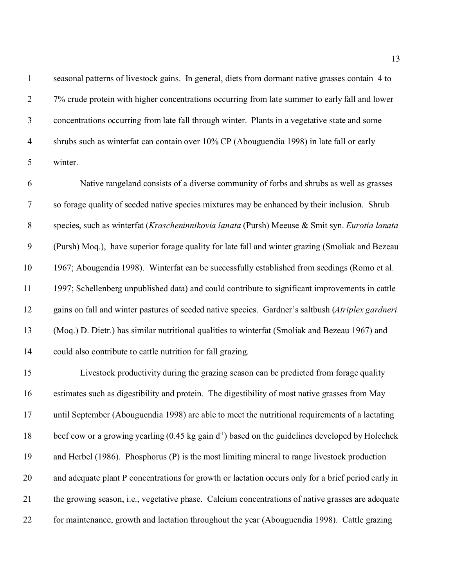seasonal patterns of livestock gains. In general, diets from dormant native grasses contain 4 to 7% crude protein with higher concentrations occurring from late summer to early fall and lower concentrations occurring from late fall through winter. Plants in a vegetative state and some shrubs such as winterfat can contain over 10% CP (Abouguendia 1998) in late fall or early winter.

 Native rangeland consists of a diverse community of forbs and shrubs as well as grasses so forage quality of seeded native species mixtures may be enhanced by their inclusion. Shrub species, such as winterfat (*Krascheninnikovia lanata* (Pursh) Meeuse & Smit syn. *Eurotia lanata* (Pursh) Moq.), have superior forage quality for late fall and winter grazing (Smoliak and Bezeau 1967; Abougendia 1998). Winterfat can be successfully established from seedings (Romo et al. 1997; Schellenberg unpublished data) and could contribute to significant improvements in cattle gains on fall and winter pastures of seeded native species. Gardner's saltbush (*Atriplex gardneri* (Moq.) D. Dietr.) has similar nutritional qualities to winterfat (Smoliak and Bezeau 1967) and could also contribute to cattle nutrition for fall grazing.

 Livestock productivity during the grazing season can be predicted from forage quality estimates such as digestibility and protein. The digestibility of most native grasses from May until September (Abouguendia 1998) are able to meet the nutritional requirements of a lactating 18 beef cow or a growing yearling  $(0.45 \text{ kg gain d}^{-1})$  based on the guidelines developed by Holechek and Herbel (1986). Phosphorus (P) is the most limiting mineral to range livestock production and adequate plant P concentrations for growth or lactation occurs only for a brief period early in the growing season, i.e., vegetative phase. Calcium concentrations of native grasses are adequate for maintenance, growth and lactation throughout the year (Abouguendia 1998). Cattle grazing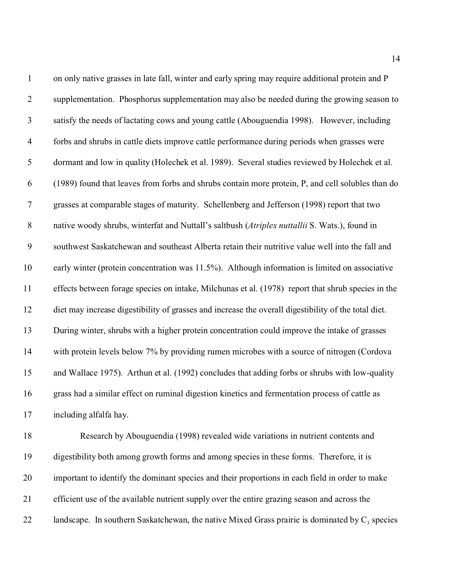| $\mathbf{1}$     | on only native grasses in late fall, winter and early spring may require additional protein and P    |
|------------------|------------------------------------------------------------------------------------------------------|
| $\overline{2}$   | supplementation. Phosphorus supplementation may also be needed during the growing season to          |
| 3                | satisfy the needs of lactating cows and young cattle (Abouguendia 1998). However, including          |
| $\overline{4}$   | forbs and shrubs in cattle diets improve cattle performance during periods when grasses were         |
| 5                | dormant and low in quality (Holechek et al. 1989). Several studies reviewed by Holechek et al.       |
| 6                | (1989) found that leaves from forbs and shrubs contain more protein, P, and cell solubles than do    |
| 7                | grasses at comparable stages of maturity. Schellenberg and Jefferson (1998) report that two          |
| $\,8\,$          | native woody shrubs, winterfat and Nuttall's saltbush (Atriplex nuttallii S. Wats.), found in        |
| $\boldsymbol{9}$ | southwest Saskatchewan and southeast Alberta retain their nutritive value well into the fall and     |
| 10               | early winter (protein concentration was 11.5%). Although information is limited on associative       |
| 11               | effects between forage species on intake, Milchunas et al. (1978) report that shrub species in the   |
| 12               | diet may increase digestibility of grasses and increase the overall digestibility of the total diet. |
| 13               | During winter, shrubs with a higher protein concentration could improve the intake of grasses        |
| 14               | with protein levels below 7% by providing rumen microbes with a source of nitrogen (Cordova          |
| 15               | and Wallace 1975). Arthun et al. (1992) concludes that adding forbs or shrubs with low-quality       |
| 16               | grass had a similar effect on ruminal digestion kinetics and fermentation process of cattle as       |
| 17               | including alfalfa hay.                                                                               |
| 18               | Research by Abouguendia (1998) revealed wide variations in nutrient contents and                     |
| 19               | digestibility both among growth forms and among species in these forms. Therefore, it is             |
| 20               | important to identify the dominant species and their proportions in each field in order to make      |
| 21               | efficient use of the available nutrient supply over the entire grazing season and across the         |

22 landscape. In southern Saskatchewan, the native Mixed Grass prairie is dominated by  $C_3$  species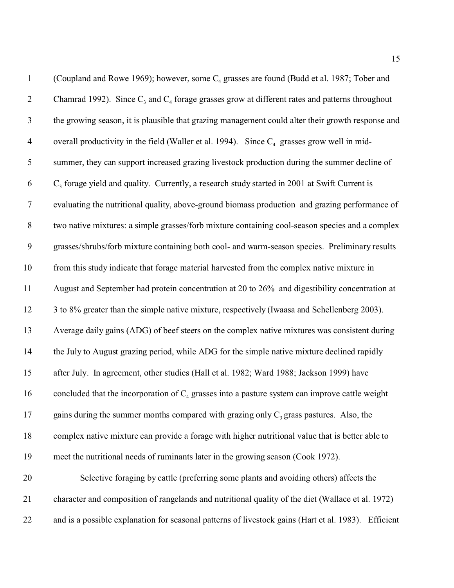| $\mathbf{1}$   | (Coupland and Rowe 1969); however, some C <sub>4</sub> grasses are found (Budd et al. 1987; Tober and |
|----------------|-------------------------------------------------------------------------------------------------------|
| $\overline{2}$ | Chamrad 1992). Since $C_3$ and $C_4$ forage grasses grow at different rates and patterns throughout   |
| $\mathfrak{Z}$ | the growing season, it is plausible that grazing management could alter their growth response and     |
| $\overline{4}$ | overall productivity in the field (Waller et al. 1994). Since $C_4$ grasses grow well in mid-         |
| 5              | summer, they can support increased grazing livestock production during the summer decline of          |
| 6              | $C3$ forage yield and quality. Currently, a research study started in 2001 at Swift Current is        |
| $\overline{7}$ | evaluating the nutritional quality, above-ground biomass production and grazing performance of        |
| $8\,$          | two native mixtures: a simple grasses/forb mixture containing cool-season species and a complex       |
| $\mathbf{9}$   | grasses/shrubs/forb mixture containing both cool- and warm-season species. Preliminary results        |
| 10             | from this study indicate that forage material harvested from the complex native mixture in            |
| 11             | August and September had protein concentration at 20 to 26% and digestibility concentration at        |
| 12             | 3 to 8% greater than the simple native mixture, respectively (Iwaasa and Schellenberg 2003).          |
| 13             | Average daily gains (ADG) of beef steers on the complex native mixtures was consistent during         |
| 14             | the July to August grazing period, while ADG for the simple native mixture declined rapidly           |
| 15             | after July. In agreement, other studies (Hall et al. 1982; Ward 1988; Jackson 1999) have              |
| 16             | concluded that the incorporation of $C_4$ grasses into a pasture system can improve cattle weight     |
| 17             | gains during the summer months compared with grazing only $C_3$ grass pastures. Also, the             |
| 18             | complex native mixture can provide a forage with higher nutritional value that is better able to      |
| 19             | meet the nutritional needs of ruminants later in the growing season (Cook 1972).                      |
| 20             | Selective foraging by cattle (preferring some plants and avoiding others) affects the                 |
| 21             | character and composition of rangelands and nutritional quality of the diet (Wallace et al. 1972)     |
| 22             | and is a possible explanation for seasonal patterns of livestock gains (Hart et al. 1983). Efficient  |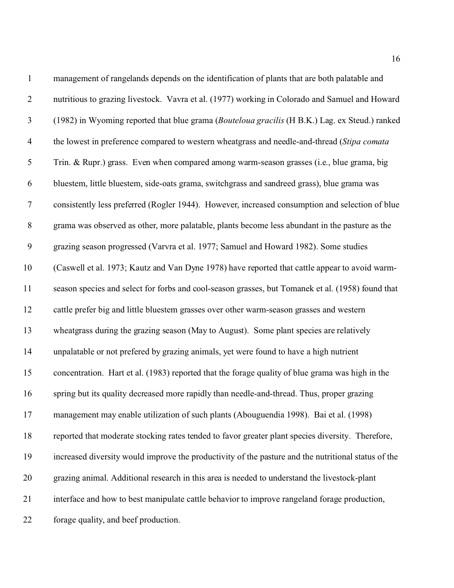| $\mathbf{1}$     | management of rangelands depends on the identification of plants that are both palatable and        |
|------------------|-----------------------------------------------------------------------------------------------------|
| $\overline{2}$   | nutritious to grazing livestock. Vavra et al. (1977) working in Colorado and Samuel and Howard      |
| $\mathfrak{Z}$   | (1982) in Wyoming reported that blue grama (Bouteloua gracilis (H B.K.) Lag. ex Steud.) ranked      |
| $\overline{4}$   | the lowest in preference compared to western wheatgrass and needle-and-thread (Stipa comata         |
| 5                | Trin. & Rupr.) grass. Even when compared among warm-season grasses (i.e., blue grama, big           |
| 6                | bluestem, little bluestem, side-oats grama, switchgrass and sandreed grass), blue grama was         |
| $\tau$           | consistently less preferred (Rogler 1944). However, increased consumption and selection of blue     |
| $8\,$            | grama was observed as other, more palatable, plants become less abundant in the pasture as the      |
| $\boldsymbol{9}$ | grazing season progressed (Varvra et al. 1977; Samuel and Howard 1982). Some studies                |
| 10               | (Caswell et al. 1973; Kautz and Van Dyne 1978) have reported that cattle appear to avoid warm-      |
| 11               | season species and select for forbs and cool-season grasses, but Tomanek et al. (1958) found that   |
| 12               | cattle prefer big and little bluestem grasses over other warm-season grasses and western            |
| 13               | wheatgrass during the grazing season (May to August). Some plant species are relatively             |
| 14               | unpalatable or not prefered by grazing animals, yet were found to have a high nutrient              |
| 15               | concentration. Hart et al. (1983) reported that the forage quality of blue grama was high in the    |
| 16               | spring but its quality decreased more rapidly than needle-and-thread. Thus, proper grazing          |
| 17               | management may enable utilization of such plants (Abouguendia 1998). Bai et al. (1998)              |
| 18               | reported that moderate stocking rates tended to favor greater plant species diversity. Therefore,   |
| 19               | increased diversity would improve the productivity of the pasture and the nutritional status of the |
| 20               | grazing animal. Additional research in this area is needed to understand the livestock-plant        |
| 21               | interface and how to best manipulate cattle behavior to improve rangeland forage production,        |
| 22               | forage quality, and beef production.                                                                |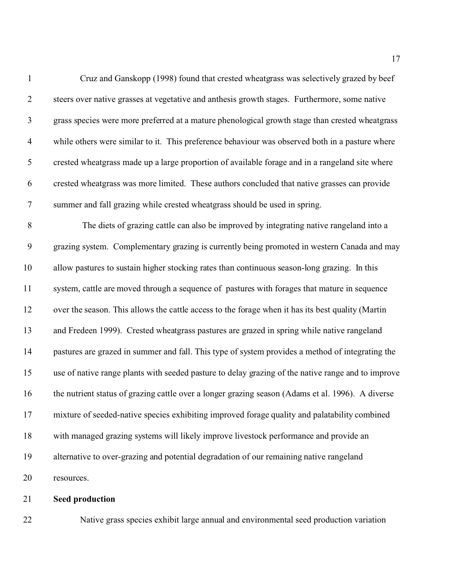| $\mathbf{1}$     | Cruz and Ganskopp (1998) found that crested wheatgrass was selectively grazed by beef              |
|------------------|----------------------------------------------------------------------------------------------------|
| $\overline{2}$   | steers over native grasses at vegetative and anthesis growth stages. Furthermore, some native      |
| $\mathfrak{Z}$   | grass species were more preferred at a mature phenological growth stage than crested wheatgrass    |
| $\overline{4}$   | while others were similar to it. This preference behaviour was observed both in a pasture where    |
| $\mathfrak{S}$   | crested wheatgrass made up a large proportion of available forage and in a rangeland site where    |
| 6                | crested wheatgrass was more limited. These authors concluded that native grasses can provide       |
| $\boldsymbol{7}$ | summer and fall grazing while crested wheatgrass should be used in spring.                         |
| $8\,$            | The diets of grazing cattle can also be improved by integrating native rangeland into a            |
| $\boldsymbol{9}$ | grazing system. Complementary grazing is currently being promoted in western Canada and may        |
| 10               | allow pastures to sustain higher stocking rates than continuous season-long grazing. In this       |
| 11               | system, cattle are moved through a sequence of pastures with forages that mature in sequence       |
| 12               | over the season. This allows the cattle access to the forage when it has its best quality (Martin  |
| 13               | and Fredeen 1999). Crested wheatgrass pastures are grazed in spring while native rangeland         |
| 14               | pastures are grazed in summer and fall. This type of system provides a method of integrating the   |
| 15               | use of native range plants with seeded pasture to delay grazing of the native range and to improve |
| 16               | the nutrient status of grazing cattle over a longer grazing season (Adams et al. 1996). A diverse  |
| 17               | mixture of seeded-native species exhibiting improved forage quality and palatability combined      |
| 18               | with managed grazing systems will likely improve livestock performance and provide an              |
| 19               | alternative to over-grazing and potential degradation of our remaining native rangeland            |
| 20               | resources.                                                                                         |
|                  |                                                                                                    |

# **Seed production**

Native grass species exhibit large annual and environmental seed production variation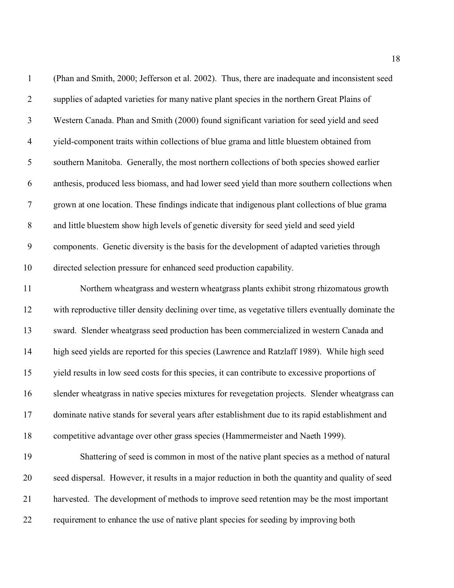| $\mathbf{1}$     | (Phan and Smith, 2000; Jefferson et al. 2002). Thus, there are inadequate and inconsistent seed     |
|------------------|-----------------------------------------------------------------------------------------------------|
| $\overline{2}$   | supplies of adapted varieties for many native plant species in the northern Great Plains of         |
| $\mathfrak{Z}$   | Western Canada. Phan and Smith (2000) found significant variation for seed yield and seed           |
| $\overline{4}$   | yield-component traits within collections of blue grama and little bluestem obtained from           |
| 5                | southern Manitoba. Generally, the most northern collections of both species showed earlier          |
| 6                | anthesis, produced less biomass, and had lower seed yield than more southern collections when       |
| $\boldsymbol{7}$ | grown at one location. These findings indicate that indigenous plant collections of blue grama      |
| $8\,$            | and little bluestem show high levels of genetic diversity for seed yield and seed yield             |
| 9                | components. Genetic diversity is the basis for the development of adapted varieties through         |
| 10               | directed selection pressure for enhanced seed production capability.                                |
| 11               | Northern wheatgrass and western wheatgrass plants exhibit strong rhizomatous growth                 |
| 12               | with reproductive tiller density declining over time, as vegetative tillers eventually dominate the |
| 13               | sward. Slender wheatgrass seed production has been commercialized in western Canada and             |
| 14               | high seed yields are reported for this species (Lawrence and Ratzlaff 1989). While high seed        |
| 15               | yield results in low seed costs for this species, it can contribute to excessive proportions of     |
| 16               | slender wheatgrass in native species mixtures for revegetation projects. Slender wheatgrass can     |
| 17               | dominate native stands for several years after establishment due to its rapid establishment and     |
| 18               | competitive advantage over other grass species (Hammermeister and Naeth 1999).                      |
| 19               | Shattering of seed is common in most of the native plant species as a method of natural             |
| 20               | seed dispersal. However, it results in a major reduction in both the quantity and quality of seed   |
| 21               | harvested. The development of methods to improve seed retention may be the most important           |
| 22               | requirement to enhance the use of native plant species for seeding by improving both                |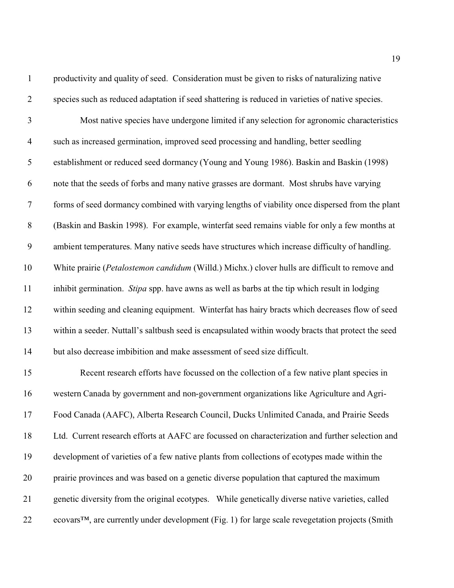| $\mathbf{1}$   | productivity and quality of seed. Consideration must be given to risks of naturalizing native                |
|----------------|--------------------------------------------------------------------------------------------------------------|
| $\overline{2}$ | species such as reduced adaptation if seed shattering is reduced in varieties of native species.             |
| 3              | Most native species have undergone limited if any selection for agronomic characteristics                    |
| $\overline{4}$ | such as increased germination, improved seed processing and handling, better seedling                        |
| 5              | establishment or reduced seed dormancy (Young and Young 1986). Baskin and Baskin (1998)                      |
| 6              | note that the seeds of forbs and many native grasses are dormant. Most shrubs have varying                   |
| $\tau$         | forms of seed dormancy combined with varying lengths of viability once dispersed from the plant              |
| $8\,$          | (Baskin and Baskin 1998). For example, winterfat seed remains viable for only a few months at                |
| 9              | ambient temperatures. Many native seeds have structures which increase difficulty of handling.               |
| 10             | White prairie (Petalostemon candidum (Willd.) Michx.) clover hulls are difficult to remove and               |
| 11             | inhibit germination. Stipa spp. have awns as well as barbs at the tip which result in lodging                |
| 12             | within seeding and cleaning equipment. Winterfat has hairy bracts which decreases flow of seed               |
| 13             | within a seeder. Nuttall's saltbush seed is encapsulated within woody bracts that protect the seed           |
| 14             | but also decrease imbibition and make assessment of seed size difficult.                                     |
| 15             | Recent research efforts have focussed on the collection of a few native plant species in                     |
| 16             | western Canada by government and non-government organizations like Agriculture and Agri-                     |
| 17             | Food Canada (AAFC), Alberta Research Council, Ducks Unlimited Canada, and Prairie Seeds                      |
| 18             | Ltd. Current research efforts at AAFC are focussed on characterization and further selection and             |
| 19             | development of varieties of a few native plants from collections of ecotypes made within the                 |
| 20             | prairie provinces and was based on a genetic diverse population that captured the maximum                    |
| 21             | genetic diversity from the original ecotypes. While genetically diverse native varieties, called             |
| 22             | ecovars <sup>™</sup> , are currently under development (Fig. 1) for large scale revegetation projects (Smith |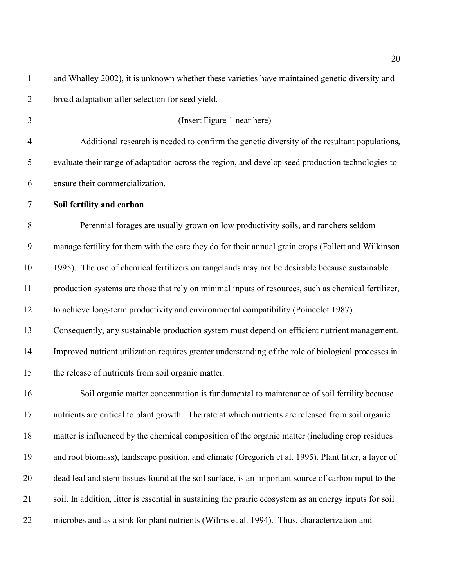and Whalley 2002), it is unknown whether these varieties have maintained genetic diversity and broad adaptation after selection for seed yield. (Insert Figure 1 near here) Additional research is needed to confirm the genetic diversity of the resultant populations, evaluate their range of adaptation across the region, and develop seed production technologies to ensure their commercialization. **Soil fertility and carbon** Perennial forages are usually grown on low productivity soils, and ranchers seldom manage fertility for them with the care they do for their annual grain crops (Follett and Wilkinson 1995). The use of chemical fertilizers on rangelands may not be desirable because sustainable production systems are those that rely on minimal inputs of resources, such as chemical fertilizer, to achieve long-term productivity and environmental compatibility (Poincelot 1987). Consequently, any sustainable production system must depend on efficient nutrient management. Improved nutrient utilization requires greater understanding of the role of biological processes in the release of nutrients from soil organic matter. Soil organic matter concentration is fundamental to maintenance of soil fertility because nutrients are critical to plant growth. The rate at which nutrients are released from soil organic matter is influenced by the chemical composition of the organic matter (including crop residues and root biomass), landscape position, and climate (Gregorich et al. 1995). Plant litter, a layer of dead leaf and stem tissues found at the soil surface, is an important source of carbon input to the soil. In addition, litter is essential in sustaining the prairie ecosystem as an energy inputs for soil microbes and as a sink for plant nutrients (Wilms et al. 1994). Thus, characterization and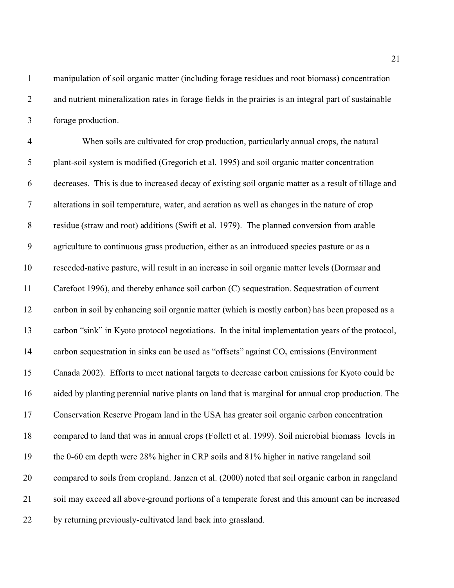forage production.

4 When soils are cultivated for crop production, particularly annual crops, the natural plant-soil system is modified (Gregorich et al. 1995) and soil organic matter concentration decreases. This is due to increased decay of existing soil organic matter as a result of tillage and alterations in soil temperature, water, and aeration as well as changes in the nature of crop residue (straw and root) additions (Swift et al. 1979). The planned conversion from arable agriculture to continuous grass production, either as an introduced species pasture or as a reseeded-native pasture, will result in an increase in soil organic matter levels (Dormaar and Carefoot 1996), and thereby enhance soil carbon (C) sequestration. Sequestration of current carbon in soil by enhancing soil organic matter (which is mostly carbon) has been proposed as a carbon "sink" in Kyoto protocol negotiations. In the inital implementation years of the protocol, 14 carbon sequestration in sinks can be used as "offsets" against CO<sub>2</sub> emissions (Environment Canada 2002). Efforts to meet national targets to decrease carbon emissions for Kyoto could be aided by planting perennial native plants on land that is marginal for annual crop production. The Conservation Reserve Progam land in the USA has greater soil organic carbon concentration compared to land that was in annual crops (Follett et al. 1999). Soil microbial biomass levels in the 0-60 cm depth were 28% higher in CRP soils and 81% higher in native rangeland soil compared to soils from cropland. Janzen et al. (2000) noted that soil organic carbon in rangeland soil may exceed all above-ground portions of a temperate forest and this amount can be increased by returning previously-cultivated land back into grassland.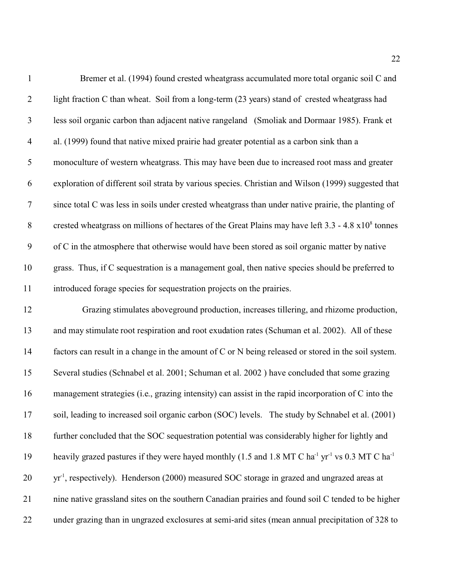| $\mathbf{1}$     | Bremer et al. (1994) found crested wheatgrass accumulated more total organic soil C and                                             |
|------------------|-------------------------------------------------------------------------------------------------------------------------------------|
| $\overline{2}$   | light fraction C than wheat. Soil from a long-term (23 years) stand of crested wheatgrass had                                       |
| $\mathfrak{Z}$   | less soil organic carbon than adjacent native rangeland (Smoliak and Dormaar 1985). Frank et                                        |
| $\overline{4}$   | al. (1999) found that native mixed prairie had greater potential as a carbon sink than a                                            |
| $\mathfrak{S}$   | monoculture of western wheatgrass. This may have been due to increased root mass and greater                                        |
| 6                | exploration of different soil strata by various species. Christian and Wilson (1999) suggested that                                 |
| $\boldsymbol{7}$ | since total C was less in soils under crested wheatgrass than under native prairie, the planting of                                 |
| $8\,$            | crested wheatgrass on millions of hectares of the Great Plains may have left 3.3 - 4.8 x10 <sup>8</sup> tonnes                      |
| $\boldsymbol{9}$ | of C in the atmosphere that otherwise would have been stored as soil organic matter by native                                       |
| 10               | grass. Thus, if C sequestration is a management goal, then native species should be preferred to                                    |
| 11               | introduced forage species for sequestration projects on the prairies.                                                               |
| 12               | Grazing stimulates aboveground production, increases tillering, and rhizome production,                                             |
| 13               | and may stimulate root respiration and root exudation rates (Schuman et al. 2002). All of these                                     |
| 14               | factors can result in a change in the amount of C or N being released or stored in the soil system.                                 |
| 15               | Several studies (Schnabel et al. 2001; Schuman et al. 2002) have concluded that some grazing                                        |
| 16               | management strategies (i.e., grazing intensity) can assist in the rapid incorporation of C into the                                 |
| 17               | soil, leading to increased soil organic carbon (SOC) levels. The study by Schnabel et al. (2001)                                    |
| 18               | further concluded that the SOC sequestration potential was considerably higher for lightly and                                      |
| 19               | heavily grazed pastures if they were hayed monthly (1.5 and 1.8 MT C ha <sup>-1</sup> yr <sup>-1</sup> vs 0.3 MT C ha <sup>-1</sup> |
| 20               | $yr-1$ , respectively). Henderson (2000) measured SOC storage in grazed and ungrazed areas at                                       |
| 21               | nine native grassland sites on the southern Canadian prairies and found soil C tended to be higher                                  |
| 22               | under grazing than in ungrazed exclosures at semi-arid sites (mean annual precipitation of 328 to                                   |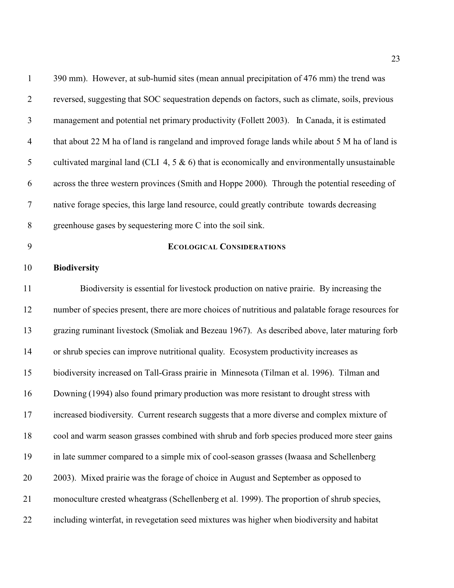| $\mathbf{1}$   | 390 mm). However, at sub-humid sites (mean annual precipitation of 476 mm) the trend was           |
|----------------|----------------------------------------------------------------------------------------------------|
| $\overline{2}$ | reversed, suggesting that SOC sequestration depends on factors, such as climate, soils, previous   |
| $\mathfrak{Z}$ | management and potential net primary productivity (Follett 2003). In Canada, it is estimated       |
| $\overline{4}$ | that about 22 M ha of land is rangeland and improved forage lands while about 5 M ha of land is    |
| 5              | cultivated marginal land (CLI 4, 5 $\&$ 6) that is economically and environmentally unsustainable  |
| 6              | across the three western provinces (Smith and Hoppe 2000). Through the potential reseeding of      |
| $\tau$         | native forage species, this large land resource, could greatly contribute towards decreasing       |
| $8\,$          | greenhouse gases by sequestering more C into the soil sink.                                        |
| 9              | <b>ECOLOGICAL CONSIDERATIONS</b>                                                                   |
| 10             | <b>Biodiversity</b>                                                                                |
| 11             | Biodiversity is essential for livestock production on native prairie. By increasing the            |
| 12             | number of species present, there are more choices of nutritious and palatable forage resources for |
| 13             | grazing ruminant livestock (Smoliak and Bezeau 1967). As described above, later maturing forb      |
| 14             | or shrub species can improve nutritional quality. Ecosystem productivity increases as              |
| 15             | biodiversity increased on Tall-Grass prairie in Minnesota (Tilman et al. 1996). Tilman and         |
| 16             | Downing (1994) also found primary production was more resistant to drought stress with             |
| 17             | increased biodiversity. Current research suggests that a more diverse and complex mixture of       |
| 18             | cool and warm season grasses combined with shrub and forb species produced more steer gains        |
| 19             | in late summer compared to a simple mix of cool-season grasses (Iwaasa and Schellenberg            |
| 20             | 2003). Mixed prairie was the forage of choice in August and September as opposed to                |
| 21             | monoculture crested wheatgrass (Schellenberg et al. 1999). The proportion of shrub species,        |
| 22             | including winterfat, in revegetation seed mixtures was higher when biodiversity and habitat        |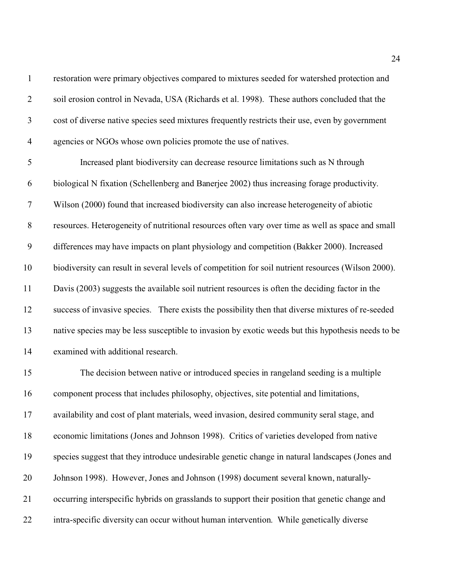restoration were primary objectives compared to mixtures seeded for watershed protection and soil erosion control in Nevada, USA (Richards et al. 1998). These authors concluded that the cost of diverse native species seed mixtures frequently restricts their use, even by government agencies or NGOs whose own policies promote the use of natives. Increased plant biodiversity can decrease resource limitations such as N through biological N fixation (Schellenberg and Banerjee 2002) thus increasing forage productivity. Wilson (2000) found that increased biodiversity can also increase heterogeneity of abiotic resources. Heterogeneity of nutritional resources often vary over time as well as space and small differences may have impacts on plant physiology and competition (Bakker 2000). Increased biodiversity can result in several levels of competition for soil nutrient resources (Wilson 2000). Davis (2003) suggests the available soil nutrient resources is often the deciding factor in the success of invasive species. There exists the possibility then that diverse mixtures of re-seeded native species may be less susceptible to invasion by exotic weeds but this hypothesis needs to be examined with additional research. The decision between native or introduced species in rangeland seeding is a multiple component process that includes philosophy, objectives, site potential and limitations, availability and cost of plant materials, weed invasion, desired community seral stage, and economic limitations (Jones and Johnson 1998). Critics of varieties developed from native species suggest that they introduce undesirable genetic change in natural landscapes (Jones and Johnson 1998). However, Jones and Johnson (1998) document several known, naturally-occurring interspecific hybrids on grasslands to support their position that genetic change and

intra-specific diversity can occur without human intervention. While genetically diverse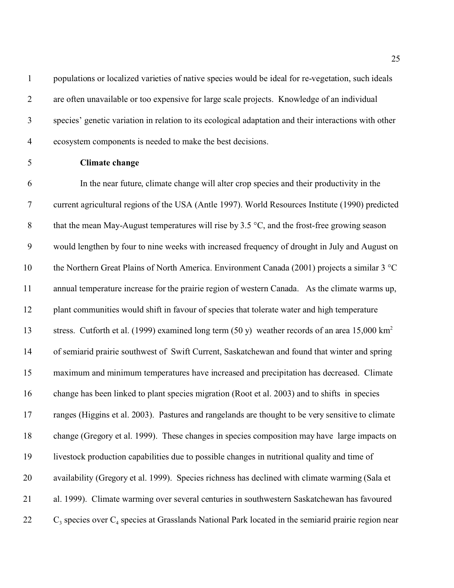populations or localized varieties of native species would be ideal for re-vegetation, such ideals are often unavailable or too expensive for large scale projects. Knowledge of an individual species' genetic variation in relation to its ecological adaptation and their interactions with other ecosystem components is needed to make the best decisions.

# **Climate change**

 In the near future, climate change will alter crop species and their productivity in the current agricultural regions of the USA (Antle 1997). World Resources Institute (1990) predicted 8 that the mean May-August temperatures will rise by  $3.5 \degree C$ , and the frost-free growing season would lengthen by four to nine weeks with increased frequency of drought in July and August on the Northern Great Plains of North America. Environment Canada (2001) projects a similar 3 °C annual temperature increase for the prairie region of western Canada. As the climate warms up, plant communities would shift in favour of species that tolerate water and high temperature stress. Cutforth et al. (1999) examined long term (50 y) weather records of an area 15,000 km<sup>2</sup> of semiarid prairie southwest of Swift Current, Saskatchewan and found that winter and spring maximum and minimum temperatures have increased and precipitation has decreased. Climate change has been linked to plant species migration (Root et al. 2003) and to shifts in species ranges (Higgins et al. 2003). Pastures and rangelands are thought to be very sensitive to climate change (Gregory et al. 1999). These changes in species composition may have large impacts on livestock production capabilities due to possible changes in nutritional quality and time of availability (Gregory et al. 1999). Species richness has declined with climate warming (Sala et al. 1999). Climate warming over several centuries in southwestern Saskatchewan has favoured 22 C<sub>3</sub> species over C<sub>4</sub> species at Grasslands National Park located in the semiarid prairie region near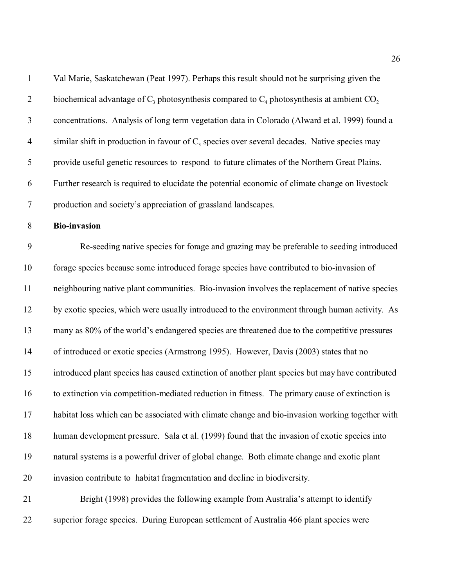| $\mathbf{1}$   | Val Marie, Saskatchewan (Peat 1997). Perhaps this result should not be surprising given the      |
|----------------|--------------------------------------------------------------------------------------------------|
| $\overline{2}$ | biochemical advantage of $C_3$ photosynthesis compared to $C_4$ photosynthesis at ambient $CO_2$ |
| $\mathfrak{Z}$ | concentrations. Analysis of long term vegetation data in Colorado (Alward et al. 1999) found a   |
| $\overline{4}$ | similar shift in production in favour of $C_3$ species over several decades. Native species may  |
| $\mathfrak s$  | provide useful genetic resources to respond to future climates of the Northern Great Plains.     |
| 6              | Further research is required to elucidate the potential economic of climate change on livestock  |
| $\overline{7}$ | production and society's appreciation of grassland landscapes.                                   |
| $\,8\,$        | <b>Bio-invasion</b>                                                                              |
| 9              | Re-seeding native species for forage and grazing may be preferable to seeding introduced         |
| 10             | forage species because some introduced forage species have contributed to bio-invasion of        |
| 11             | neighbouring native plant communities. Bio-invasion involves the replacement of native species   |
| 12             | by exotic species, which were usually introduced to the environment through human activity. As   |
| 13             | many as 80% of the world's endangered species are threatened due to the competitive pressures    |
| 14             | of introduced or exotic species (Armstrong 1995). However, Davis (2003) states that no           |
| 15             | introduced plant species has caused extinction of another plant species but may have contributed |
| 16             | to extinction via competition-mediated reduction in fitness. The primary cause of extinction is  |
| 17             | habitat loss which can be associated with climate change and bio-invasion working together with  |
| 18             | human development pressure. Sala et al. (1999) found that the invasion of exotic species into    |
| 19             | natural systems is a powerful driver of global change. Both climate change and exotic plant      |
| 20             | invasion contribute to habitat fragmentation and decline in biodiversity.                        |
| 21             | Bright (1998) provides the following example from Australia's attempt to identify                |
| 22             | superior forage species. During European settlement of Australia 466 plant species were          |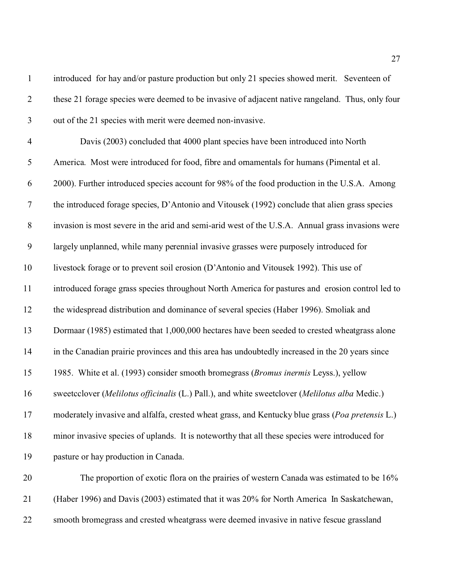| $\mathbf{1}$     | introduced for hay and/or pasture production but only 21 species showed merit. Seventeen of      |
|------------------|--------------------------------------------------------------------------------------------------|
| $\overline{2}$   | these 21 forage species were deemed to be invasive of adjacent native rangeland. Thus, only four |
| $\mathfrak{Z}$   | out of the 21 species with merit were deemed non-invasive.                                       |
| $\overline{4}$   | Davis (2003) concluded that 4000 plant species have been introduced into North                   |
| 5                | America. Most were introduced for food, fibre and ornamentals for humans (Pimental et al.        |
| 6                | 2000). Further introduced species account for 98% of the food production in the U.S.A. Among     |
| $\overline{7}$   | the introduced forage species, D'Antonio and Vitousek (1992) conclude that alien grass species   |
| $\,8\,$          | invasion is most severe in the arid and semi-arid west of the U.S.A. Annual grass invasions were |
| $\boldsymbol{9}$ | largely unplanned, while many perennial invasive grasses were purposely introduced for           |
| 10               | livestock forage or to prevent soil erosion (D'Antonio and Vitousek 1992). This use of           |
| 11               | introduced forage grass species throughout North America for pastures and erosion control led to |
| 12               | the widespread distribution and dominance of several species (Haber 1996). Smoliak and           |
| 13               | Dormaar (1985) estimated that 1,000,000 hectares have been seeded to crested wheatgrass alone    |
| 14               | in the Canadian prairie provinces and this area has undoubtedly increased in the 20 years since  |
| 15               | 1985. White et al. (1993) consider smooth bromegrass (Bromus inermis Leyss.), yellow             |
| 16               | sweetcclover (Melilotus officinalis (L.) Pall.), and white sweetclover (Melilotus alba Medic.)   |
| 17               | moderately invasive and alfalfa, crested wheat grass, and Kentucky blue grass (Poa pretensis L.) |
| 18               | minor invasive species of uplands. It is noteworthy that all these species were introduced for   |
| 19               | pasture or hay production in Canada.                                                             |
| 20               | The proportion of exotic flora on the prairies of western Canada was estimated to be 16%         |
| 21               | (Haber 1996) and Davis (2003) estimated that it was 20% for North America In Saskatchewan,       |
| 22               | smooth bromegrass and crested wheatgrass were deemed invasive in native fescue grassland         |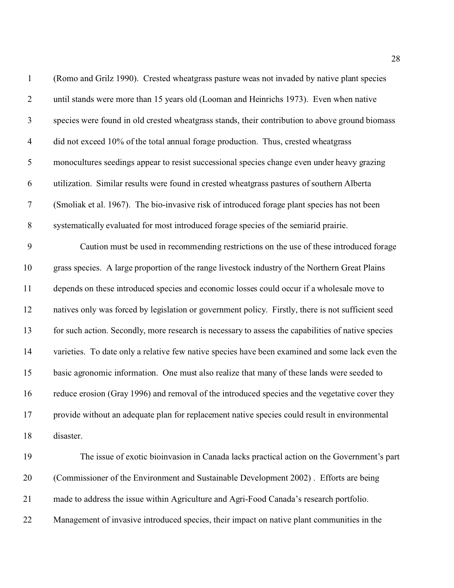| $\mathbf{1}$   | (Romo and Grilz 1990). Crested wheatgrass pasture weas not invaded by native plant species         |
|----------------|----------------------------------------------------------------------------------------------------|
| $\overline{2}$ | until stands were more than 15 years old (Looman and Heinrichs 1973). Even when native             |
| $\mathfrak{Z}$ | species were found in old crested wheatgrass stands, their contribution to above ground biomass    |
| $\overline{4}$ | did not exceed 10% of the total annual forage production. Thus, crested wheatgrass                 |
| $\mathfrak s$  | monocultures seedings appear to resist successional species change even under heavy grazing        |
| 6              | utilization. Similar results were found in crested wheatgrass pastures of southern Alberta         |
| $\tau$         | (Smoliak et al. 1967). The bio-invasive risk of introduced forage plant species has not been       |
| $8\,$          | systematically evaluated for most introduced forage species of the semiarid prairie.               |
| 9              | Caution must be used in recommending restrictions on the use of these introduced forage            |
| 10             | grass species. A large proportion of the range livestock industry of the Northern Great Plains     |
| 11             | depends on these introduced species and economic losses could occur if a wholesale move to         |
| 12             | natives only was forced by legislation or government policy. Firstly, there is not sufficient seed |
| 13             | for such action. Secondly, more research is necessary to assess the capabilities of native species |
| 14             | varieties. To date only a relative few native species have been examined and some lack even the    |
| 15             | basic agronomic information. One must also realize that many of these lands were seeded to         |
| 16             | reduce erosion (Gray 1996) and removal of the introduced species and the vegetative cover they     |
| 17             | provide without an adequate plan for replacement native species could result in environmental      |
| 18             | disaster.                                                                                          |
| 19             | The issue of exotic bioinvasion in Canada lacks practical action on the Government's part          |
| 20             | (Commissioner of the Environment and Sustainable Development 2002). Efforts are being              |
| 21             | made to address the issue within Agriculture and Agri-Food Canada's research portfolio.            |
| 22             | Management of invasive introduced species, their impact on native plant communities in the         |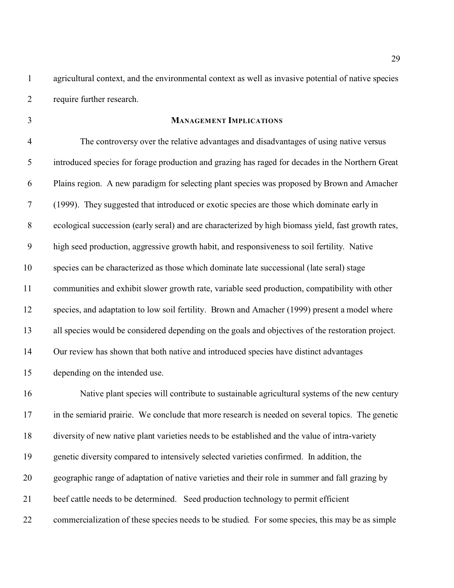agricultural context, and the environmental context as well as invasive potential of native species require further research.

## **MANAGEMENT IMPLICATIONS**

 The controversy over the relative advantages and disadvantages of using native versus introduced species for forage production and grazing has raged for decades in the Northern Great Plains region. A new paradigm for selecting plant species was proposed by Brown and Amacher (1999). They suggested that introduced or exotic species are those which dominate early in ecological succession (early seral) and are characterized by high biomass yield, fast growth rates, high seed production, aggressive growth habit, and responsiveness to soil fertility. Native species can be characterized as those which dominate late successional (late seral) stage communities and exhibit slower growth rate, variable seed production, compatibility with other species, and adaptation to low soil fertility. Brown and Amacher (1999) present a model where all species would be considered depending on the goals and objectives of the restoration project. Our review has shown that both native and introduced species have distinct advantages depending on the intended use.

 Native plant species will contribute to sustainable agricultural systems of the new century 17 in the semiarid prairie. We conclude that more research is needed on several topics. The genetic diversity of new native plant varieties needs to be established and the value of intra-variety genetic diversity compared to intensively selected varieties confirmed. In addition, the geographic range of adaptation of native varieties and their role in summer and fall grazing by beef cattle needs to be determined. Seed production technology to permit efficient commercialization of these species needs to be studied. For some species, this may be as simple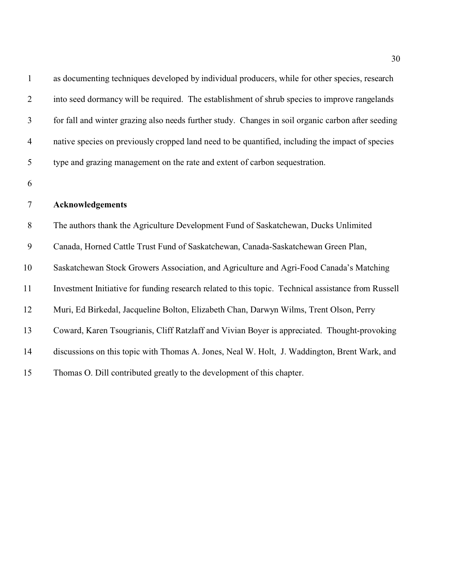| $\mathbf{1}$   | as documenting techniques developed by individual producers, while for other species, research      |
|----------------|-----------------------------------------------------------------------------------------------------|
| $\overline{2}$ | into seed dormancy will be required. The establishment of shrub species to improve rangelands       |
| $\mathfrak{Z}$ | for fall and winter grazing also needs further study. Changes in soil organic carbon after seeding  |
| 4              | native species on previously cropped land need to be quantified, including the impact of species    |
| 5              | type and grazing management on the rate and extent of carbon sequestration.                         |
| 6              |                                                                                                     |
| $\tau$         | Acknowledgements                                                                                    |
| 8              | The authors thank the Agriculture Development Fund of Saskatchewan, Ducks Unlimited                 |
| 9              | Canada, Horned Cattle Trust Fund of Saskatchewan, Canada-Saskatchewan Green Plan,                   |
| 10             | Saskatchewan Stock Growers Association, and Agriculture and Agri-Food Canada's Matching             |
| 11             | Investment Initiative for funding research related to this topic. Technical assistance from Russell |
| 12             | Muri, Ed Birkedal, Jacqueline Bolton, Elizabeth Chan, Darwyn Wilms, Trent Olson, Perry              |
| 13             | Coward, Karen Tsougrianis, Cliff Ratzlaff and Vivian Boyer is appreciated. Thought-provoking        |
| 14             | discussions on this topic with Thomas A. Jones, Neal W. Holt, J. Waddington, Brent Wark, and        |
| 15             | Thomas O. Dill contributed greatly to the development of this chapter.                              |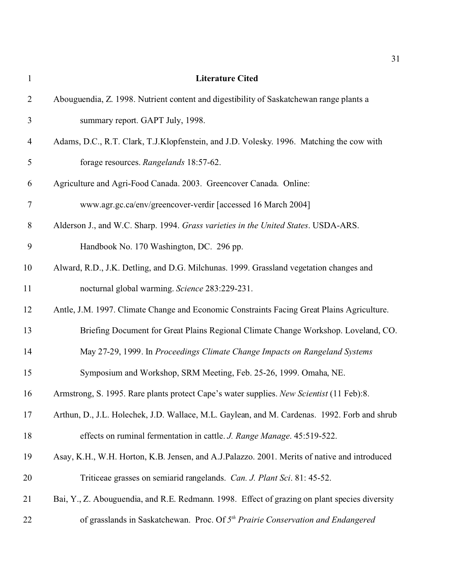| $\mathbf{1}$   | <b>Literature Cited</b>                                                                       |
|----------------|-----------------------------------------------------------------------------------------------|
| $\overline{2}$ | Abouguendia, Z. 1998. Nutrient content and digestibility of Saskatchewan range plants a       |
| 3              | summary report. GAPT July, 1998.                                                              |
| $\overline{4}$ | Adams, D.C., R.T. Clark, T.J.Klopfenstein, and J.D. Volesky. 1996. Matching the cow with      |
| 5              | forage resources. Rangelands 18:57-62.                                                        |
| 6              | Agriculture and Agri-Food Canada. 2003. Greencover Canada. Online:                            |
| $\tau$         | www.agr.gc.ca/env/greencover-verdir [accessed 16 March 2004]                                  |
| 8              | Alderson J., and W.C. Sharp. 1994. Grass varieties in the United States. USDA-ARS.            |
| $\mathbf{9}$   | Handbook No. 170 Washington, DC. 296 pp.                                                      |
| 10             | Alward, R.D., J.K. Detling, and D.G. Milchunas. 1999. Grassland vegetation changes and        |
| 11             | nocturnal global warming. Science 283:229-231.                                                |
| 12             | Antle, J.M. 1997. Climate Change and Economic Constraints Facing Great Plains Agriculture.    |
| 13             | Briefing Document for Great Plains Regional Climate Change Workshop. Loveland, CO.            |
| 14             | May 27-29, 1999. In Proceedings Climate Change Impacts on Rangeland Systems                   |
| 15             | Symposium and Workshop, SRM Meeting, Feb. 25-26, 1999. Omaha, NE.                             |
| 16             | Armstrong, S. 1995. Rare plants protect Cape's water supplies. New Scientist (11 Feb):8.      |
| 17             | Arthun, D., J.L. Holechek, J.D. Wallace, M.L. Gaylean, and M. Cardenas. 1992. Forb and shrub  |
| 18             | effects on ruminal fermentation in cattle. J. Range Manage. 45:519-522.                       |
| 19             | Asay, K.H., W.H. Horton, K.B. Jensen, and A.J.Palazzo. 2001. Merits of native and introduced  |
| 20             | Triticeae grasses on semiarid rangelands. Can. J. Plant Sci. 81: 45-52.                       |
| 21             | Bai, Y., Z. Abouguendia, and R.E. Redmann. 1998. Effect of grazing on plant species diversity |
| 22             | of grasslands in Saskatchewan. Proc. Of 5 <sup>th</sup> Prairie Conservation and Endangered   |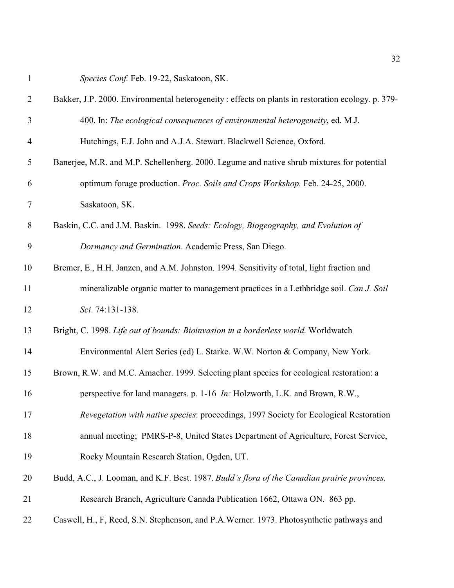*Species Conf.* Feb. 19-22, Saskatoon, SK.

| $\overline{2}$ | Bakker, J.P. 2000. Environmental heterogeneity : effects on plants in restoration ecology. p. 379- |
|----------------|----------------------------------------------------------------------------------------------------|
| $\mathfrak{Z}$ | 400. In: The ecological consequences of environmental heterogeneity, ed. M.J.                      |
| $\overline{4}$ | Hutchings, E.J. John and A.J.A. Stewart. Blackwell Science, Oxford.                                |
| 5              | Banerjee, M.R. and M.P. Schellenberg. 2000. Legume and native shrub mixtures for potential         |
| 6              | optimum forage production. Proc. Soils and Crops Workshop. Feb. 24-25, 2000.                       |
| $\tau$         | Saskatoon, SK.                                                                                     |
| $\,8\,$        | Baskin, C.C. and J.M. Baskin. 1998. Seeds: Ecology, Biogeography, and Evolution of                 |
| 9              | Dormancy and Germination. Academic Press, San Diego.                                               |
| 10             | Bremer, E., H.H. Janzen, and A.M. Johnston. 1994. Sensitivity of total, light fraction and         |
| 11             | mineralizable organic matter to management practices in a Lethbridge soil. Can J. Soil             |
| 12             | Sci. 74:131-138.                                                                                   |
| 13             | Bright, C. 1998. Life out of bounds: Bioinvasion in a borderless world. Worldwatch                 |
| 14             | Environmental Alert Series (ed) L. Starke. W.W. Norton & Company, New York.                        |
| 15             | Brown, R.W. and M.C. Amacher. 1999. Selecting plant species for ecological restoration: a          |
| 16             | perspective for land managers. p. 1-16 <i>In:</i> Holzworth, L.K. and Brown, R.W.,                 |
| 17             | Revegetation with native species: proceedings, 1997 Society for Ecological Restoration             |
| 18             | annual meeting; PMRS-P-8, United States Department of Agriculture, Forest Service,                 |
| 19             | Rocky Mountain Research Station, Ogden, UT.                                                        |
| 20             | Budd, A.C., J. Looman, and K.F. Best. 1987. Budd's flora of the Canadian prairie provinces.        |
| 21             | Research Branch, Agriculture Canada Publication 1662, Ottawa ON. 863 pp.                           |
| 22             | Caswell, H., F, Reed, S.N. Stephenson, and P.A.Werner. 1973. Photosynthetic pathways and           |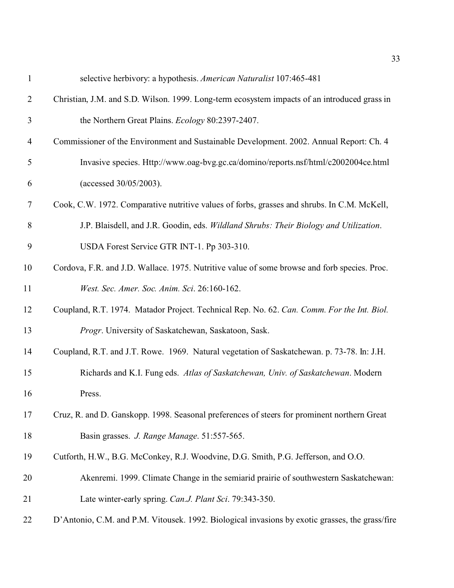| $\mathbf{1}$   | selective herbivory: a hypothesis. American Naturalist 107:465-481                              |
|----------------|-------------------------------------------------------------------------------------------------|
| $\overline{2}$ | Christian, J.M. and S.D. Wilson. 1999. Long-term ecosystem impacts of an introduced grass in    |
| 3              | the Northern Great Plains. <i>Ecology</i> 80:2397-2407.                                         |
| $\overline{4}$ | Commissioner of the Environment and Sustainable Development. 2002. Annual Report: Ch. 4         |
| 5              | Invasive species. Http://www.oag-bvg.gc.ca/domino/reports.nsf/html/c2002004ce.html              |
| 6              | (accessed 30/05/2003).                                                                          |
| 7              | Cook, C.W. 1972. Comparative nutritive values of forbs, grasses and shrubs. In C.M. McKell,     |
| 8              | J.P. Blaisdell, and J.R. Goodin, eds. Wildland Shrubs: Their Biology and Utilization.           |
| 9              | USDA Forest Service GTR INT-1. Pp 303-310.                                                      |
| 10             | Cordova, F.R. and J.D. Wallace. 1975. Nutritive value of some browse and forb species. Proc.    |
| 11             | West. Sec. Amer. Soc. Anim. Sci. 26:160-162.                                                    |
| 12             | Coupland, R.T. 1974. Matador Project. Technical Rep. No. 62. Can. Comm. For the Int. Biol.      |
| 13             | Progr. University of Saskatchewan, Saskatoon, Sask.                                             |
| 14             | Coupland, R.T. and J.T. Rowe. 1969. Natural vegetation of Saskatchewan. p. 73-78. In: J.H.      |
| 15             | Richards and K.I. Fung eds. Atlas of Saskatchewan, Univ. of Saskatchewan. Modern                |
| 16             | Press.                                                                                          |
| 17             | Cruz, R. and D. Ganskopp. 1998. Seasonal preferences of steers for prominent northern Great     |
| 18             | Basin grasses. J. Range Manage. 51:557-565.                                                     |
| 19             | Cutforth, H.W., B.G. McConkey, R.J. Woodvine, D.G. Smith, P.G. Jefferson, and O.O.              |
| 20             | Akenremi. 1999. Climate Change in the semiarid prairie of southwestern Saskatchewan:            |
| 21             | Late winter-early spring. Can.J. Plant Sci. 79:343-350.                                         |
| 22             | D'Antonio, C.M. and P.M. Vitousek. 1992. Biological invasions by exotic grasses, the grass/fire |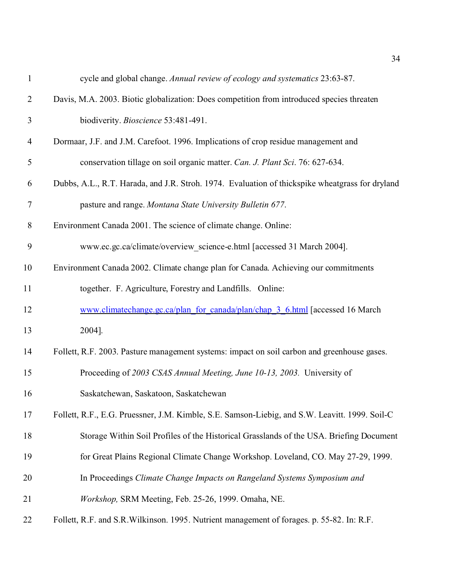| $\mathbf{1}$   | cycle and global change. Annual review of ecology and systematics 23:63-87.                     |
|----------------|-------------------------------------------------------------------------------------------------|
| $\overline{2}$ | Davis, M.A. 2003. Biotic globalization: Does competition from introduced species threaten       |
| 3              | biodiverity. Bioscience 53:481-491.                                                             |
| $\overline{4}$ | Dormaar, J.F. and J.M. Carefoot. 1996. Implications of crop residue management and              |
| 5              | conservation tillage on soil organic matter. Can. J. Plant Sci. 76: 627-634.                    |
| 6              | Dubbs, A.L., R.T. Harada, and J.R. Stroh. 1974. Evaluation of thickspike wheatgrass for dryland |
| $\tau$         | pasture and range. Montana State University Bulletin 677.                                       |
| 8              | Environment Canada 2001. The science of climate change. Online:                                 |
| 9              | www.ec.gc.ca/climate/overview_science-e.html [accessed 31 March 2004].                          |
| 10             | Environment Canada 2002. Climate change plan for Canada. Achieving our commitments              |
| 11             | together. F. Agriculture, Forestry and Landfills. Online:                                       |
| 12             | www.climatechange.gc.ca/plan for canada/plan/chap 3 6.html [accessed 16 March]                  |
| 13             | 2004].                                                                                          |
| 14             | Follett, R.F. 2003. Pasture management systems: impact on soil carbon and greenhouse gases.     |
| 15             | Proceeding of 2003 CSAS Annual Meeting, June 10-13, 2003. University of                         |
| 16             | Saskatchewan, Saskatoon, Saskatchewan                                                           |
| 17             | Follett, R.F., E.G. Pruessner, J.M. Kimble, S.E. Samson-Liebig, and S.W. Leavitt. 1999. Soil-C  |
| 18             | Storage Within Soil Profiles of the Historical Grasslands of the USA. Briefing Document         |
| 19             | for Great Plains Regional Climate Change Workshop. Loveland, CO. May 27-29, 1999.               |
| 20             | In Proceedings Climate Change Impacts on Rangeland Systems Symposium and                        |
| 21             | Workshop, SRM Meeting, Feb. 25-26, 1999. Omaha, NE.                                             |
| 22             | Follett, R.F. and S.R. Wilkinson. 1995. Nutrient management of forages. p. 55-82. In: R.F.      |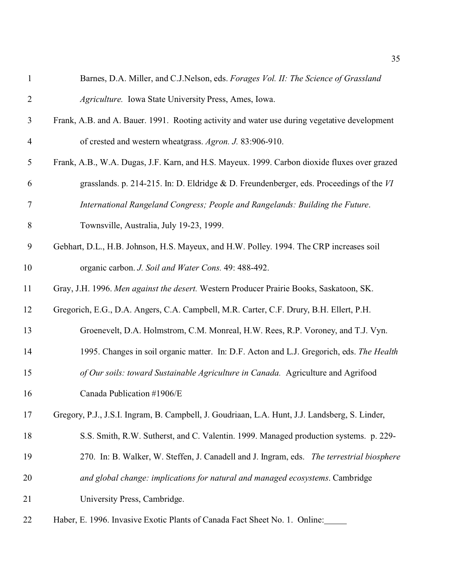| $\mathbf{1}$   | Barnes, D.A. Miller, and C.J.Nelson, eds. Forages Vol. II: The Science of Grassland            |
|----------------|------------------------------------------------------------------------------------------------|
| $\overline{2}$ | Agriculture. Iowa State University Press, Ames, Iowa.                                          |
| 3              | Frank, A.B. and A. Bauer. 1991. Rooting activity and water use during vegetative development   |
| 4              | of crested and western wheatgrass. Agron. J. 83:906-910.                                       |
| 5              | Frank, A.B., W.A. Dugas, J.F. Karn, and H.S. Mayeux. 1999. Carbon dioxide fluxes over grazed   |
| 6              | grasslands. p. 214-215. In: D. Eldridge & D. Freundenberger, eds. Proceedings of the $VI$      |
| 7              | International Rangeland Congress; People and Rangelands: Building the Future.                  |
| 8              | Townsville, Australia, July 19-23, 1999.                                                       |
| 9              | Gebhart, D.L., H.B. Johnson, H.S. Mayeux, and H.W. Polley. 1994. The CRP increases soil        |
| 10             | organic carbon. J. Soil and Water Cons. 49: 488-492.                                           |
| 11             | Gray, J.H. 1996. Men against the desert. Western Producer Prairie Books, Saskatoon, SK.        |
| 12             | Gregorich, E.G., D.A. Angers, C.A. Campbell, M.R. Carter, C.F. Drury, B.H. Ellert, P.H.        |
| 13             | Groenevelt, D.A. Holmstrom, C.M. Monreal, H.W. Rees, R.P. Voroney, and T.J. Vyn.               |
| 14             | 1995. Changes in soil organic matter. In: D.F. Acton and L.J. Gregorich, eds. The Health       |
| 15             | of Our soils: toward Sustainable Agriculture in Canada. Agriculture and Agrifood               |
| 16             | Canada Publication #1906/E                                                                     |
| 17             | Gregory, P.J., J.S.I. Ingram, B. Campbell, J. Goudriaan, L.A. Hunt, J.J. Landsberg, S. Linder, |
| 18             | S.S. Smith, R.W. Sutherst, and C. Valentin. 1999. Managed production systems. p. 229-          |
| 19             | 270. In: B. Walker, W. Steffen, J. Canadell and J. Ingram, eds. The terrestrial biosphere      |
| 20             | and global change: implications for natural and managed ecosystems. Cambridge                  |
| 21             | University Press, Cambridge.                                                                   |
| 22             | Haber, E. 1996. Invasive Exotic Plants of Canada Fact Sheet No. 1. Online:                     |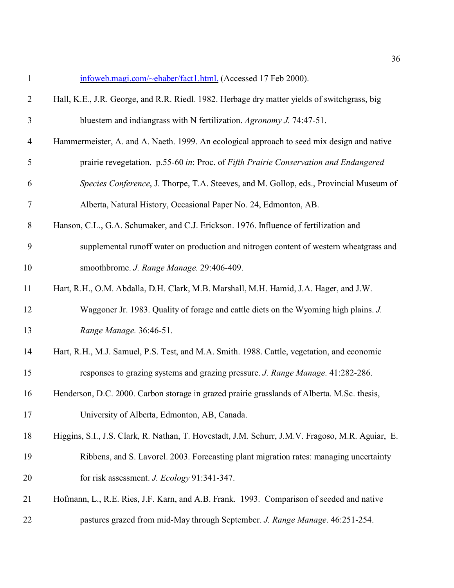| $\mathbf{1}$   | infoweb.magi.com/~ehaber/fact1.html. (Accessed 17 Feb 2000).                                     |
|----------------|--------------------------------------------------------------------------------------------------|
| $\overline{2}$ | Hall, K.E., J.R. George, and R.R. Riedl. 1982. Herbage dry matter yields of switchgrass, big     |
| $\mathfrak{Z}$ | bluestem and indiangrass with N fertilization. Agronomy J. 74:47-51.                             |
| $\overline{4}$ | Hammermeister, A. and A. Naeth. 1999. An ecological approach to seed mix design and native       |
| 5              | prairie revegetation. p.55-60 in: Proc. of Fifth Prairie Conservation and Endangered             |
| 6              | Species Conference, J. Thorpe, T.A. Steeves, and M. Gollop, eds., Provincial Museum of           |
| 7              | Alberta, Natural History, Occasional Paper No. 24, Edmonton, AB.                                 |
| $8\,$          | Hanson, C.L., G.A. Schumaker, and C.J. Erickson. 1976. Influence of fertilization and            |
| 9              | supplemental runoff water on production and nitrogen content of western wheatgrass and           |
| 10             | smoothbrome. J. Range Manage. 29:406-409.                                                        |
| 11             | Hart, R.H., O.M. Abdalla, D.H. Clark, M.B. Marshall, M.H. Hamid, J.A. Hager, and J.W.            |
| 12             | Waggoner Jr. 1983. Quality of forage and cattle diets on the Wyoming high plains. J.             |
| 13             | Range Manage. 36:46-51.                                                                          |
| 14             | Hart, R.H., M.J. Samuel, P.S. Test, and M.A. Smith. 1988. Cattle, vegetation, and economic       |
| 15             | responses to grazing systems and grazing pressure. J. Range Manage. 41:282-286.                  |
| 16             | Henderson, D.C. 2000. Carbon storage in grazed prairie grasslands of Alberta. M.Sc. thesis,      |
| 17             | University of Alberta, Edmonton, AB, Canada.                                                     |
| 18             | Higgins, S.I., J.S. Clark, R. Nathan, T. Hovestadt, J.M. Schurr, J.M.V. Fragoso, M.R. Aguiar, E. |
| 19             | Ribbens, and S. Lavorel. 2003. Forecasting plant migration rates: managing uncertainty           |
| 20             | for risk assessment. J. Ecology 91:341-347.                                                      |
| 21             | Hofmann, L., R.E. Ries, J.F. Karn, and A.B. Frank. 1993. Comparison of seeded and native         |
|                |                                                                                                  |

pastures grazed from mid-May through September. *J. Range Manage*. 46:251-254.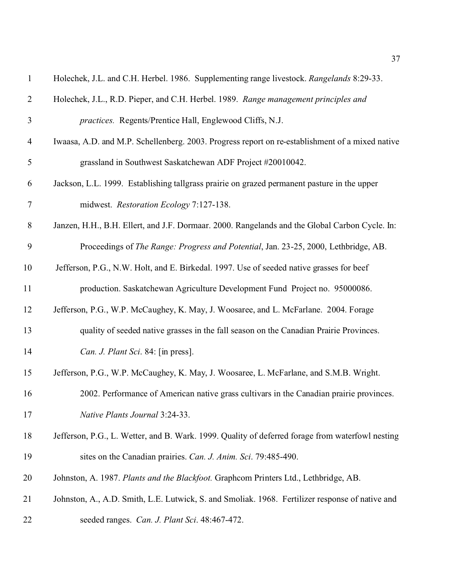| $\mathbf{1}$   | Holechek, J.L. and C.H. Herbel. 1986. Supplementing range livestock. Rangelands 8:29-33.         |
|----------------|--------------------------------------------------------------------------------------------------|
| $\overline{2}$ | Holechek, J.L., R.D. Pieper, and C.H. Herbel. 1989. Range management principles and              |
| 3              | <i>practices.</i> Regents/Prentice Hall, Englewood Cliffs, N.J.                                  |
| $\overline{4}$ | Iwaasa, A.D. and M.P. Schellenberg. 2003. Progress report on re-establishment of a mixed native  |
| 5              | grassland in Southwest Saskatchewan ADF Project #20010042.                                       |
| 6              | Jackson, L.L. 1999. Establishing tallgrass prairie on grazed permanent pasture in the upper      |
| 7              | midwest. Restoration Ecology 7:127-138.                                                          |
| $8\,$          | Janzen, H.H., B.H. Ellert, and J.F. Dormaar. 2000. Rangelands and the Global Carbon Cycle. In:   |
| 9              | Proceedings of The Range: Progress and Potential, Jan. 23-25, 2000, Lethbridge, AB.              |
| 10             | Jefferson, P.G., N.W. Holt, and E. Birkedal. 1997. Use of seeded native grasses for beef         |
| 11             | production. Saskatchewan Agriculture Development Fund Project no. 95000086.                      |
| 12             | Jefferson, P.G., W.P. McCaughey, K. May, J. Woosaree, and L. McFarlane. 2004. Forage             |
| 13             | quality of seeded native grasses in the fall season on the Canadian Prairie Provinces.           |
| 14             | Can. J. Plant Sci. 84: [in press].                                                               |
| 15             | Jefferson, P.G., W.P. McCaughey, K. May, J. Woosaree, L. McFarlane, and S.M.B. Wright.           |
| 16             | 2002. Performance of American native grass cultivars in the Canadian prairie provinces.          |
| 17             | Native Plants Journal 3:24-33.                                                                   |
| 18             | Jefferson, P.G., L. Wetter, and B. Wark. 1999. Quality of deferred forage from waterfowl nesting |
| 19             | sites on the Canadian prairies. Can. J. Anim. Sci. 79:485-490.                                   |
| 20             | Johnston, A. 1987. Plants and the Blackfoot. Graphcom Printers Ltd., Lethbridge, AB.             |
| 21             | Johnston, A., A.D. Smith, L.E. Lutwick, S. and Smoliak. 1968. Fertilizer response of native and  |
| 22             | seeded ranges. Can. J. Plant Sci. 48:467-472.                                                    |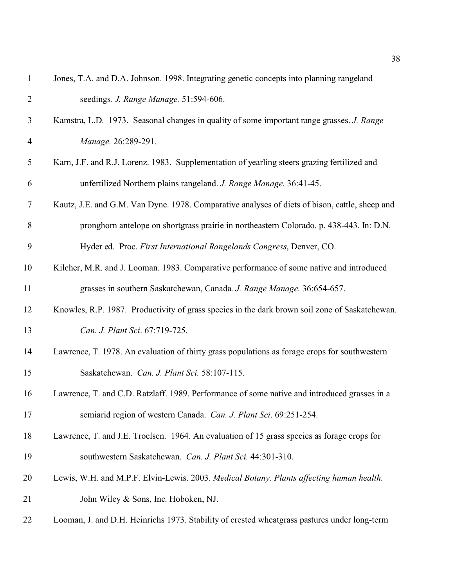| $\mathbf{1}$   | Jones, T.A. and D.A. Johnson. 1998. Integrating genetic concepts into planning rangeland       |
|----------------|------------------------------------------------------------------------------------------------|
| $\overline{2}$ | seedings. J. Range Manage. 51:594-606.                                                         |
| 3              | Kamstra, L.D. 1973. Seasonal changes in quality of some important range grasses. J. Range      |
| 4              | Manage. 26:289-291.                                                                            |
| 5              | Karn, J.F. and R.J. Lorenz. 1983. Supplementation of yearling steers grazing fertilized and    |
| 6              | unfertilized Northern plains rangeland. J. Range Manage. 36:41-45.                             |
| $\tau$         | Kautz, J.E. and G.M. Van Dyne. 1978. Comparative analyses of diets of bison, cattle, sheep and |
| $8\,$          | pronghorn antelope on shortgrass prairie in northeastern Colorado. p. 438-443. In: D.N.        |
| 9              | Hyder ed. Proc. First International Rangelands Congress, Denver, CO.                           |
| 10             | Kilcher, M.R. and J. Looman. 1983. Comparative performance of some native and introduced       |
| 11             | grasses in southern Saskatchewan, Canada. J. Range Manage. 36:654-657.                         |
| 12             | Knowles, R.P. 1987. Productivity of grass species in the dark brown soil zone of Saskatchewan. |
| 13             | Can. J. Plant Sci. 67:719-725.                                                                 |
| 14             | Lawrence, T. 1978. An evaluation of thirty grass populations as forage crops for southwestern  |
| 15             | Saskatchewan. Can. J. Plant Sci. 58:107-115.                                                   |
| 16             | Lawrence, T. and C.D. Ratzlaff. 1989. Performance of some native and introduced grasses in a   |
| 17             | semiarid region of western Canada. Can. J. Plant Sci. 69:251-254.                              |
| 18             | Lawrence, T. and J.E. Troelsen. 1964. An evaluation of 15 grass species as forage crops for    |
| 19             | southwestern Saskatchewan. Can. J. Plant Sci. 44:301-310.                                      |
| 20             | Lewis, W.H. and M.P.F. Elvin-Lewis. 2003. Medical Botany. Plants affecting human health.       |
| 21             | John Wiley & Sons, Inc. Hoboken, NJ.                                                           |
| 22             | Looman, J. and D.H. Heinrichs 1973. Stability of crested wheatgrass pastures under long-term   |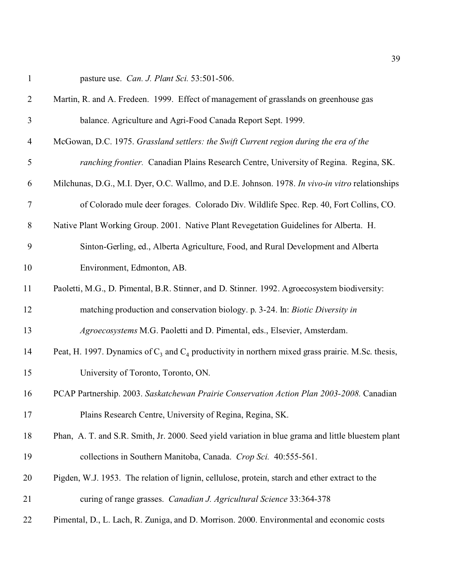|  | pasture use. <i>Can. J. Plant Sci.</i> 53:501-506. |  |  |  |  |
|--|----------------------------------------------------|--|--|--|--|
|--|----------------------------------------------------|--|--|--|--|

| $\overline{2}$ | Martin, R. and A. Fredeen. 1999. Effect of management of grasslands on greenhouse gas                  |
|----------------|--------------------------------------------------------------------------------------------------------|
| 3              | balance. Agriculture and Agri-Food Canada Report Sept. 1999.                                           |
| 4              | McGowan, D.C. 1975. Grassland settlers: the Swift Current region during the era of the                 |
| $\mathfrak{S}$ | ranching frontier. Canadian Plains Research Centre, University of Regina. Regina, SK.                  |
| 6              | Milchunas, D.G., M.I. Dyer, O.C. Wallmo, and D.E. Johnson. 1978. In vivo-in vitro relationships        |
| $\overline{7}$ | of Colorado mule deer forages. Colorado Div. Wildlife Spec. Rep. 40, Fort Collins, CO.                 |
| $8\phantom{1}$ | Native Plant Working Group. 2001. Native Plant Revegetation Guidelines for Alberta. H.                 |
| 9              | Sinton-Gerling, ed., Alberta Agriculture, Food, and Rural Development and Alberta                      |
| 10             | Environment, Edmonton, AB.                                                                             |
| 11             | Paoletti, M.G., D. Pimental, B.R. Stinner, and D. Stinner. 1992. Agroecosystem biodiversity:           |
| 12             | matching production and conservation biology. p. 3-24. In: Biotic Diversity in                         |
| 13             | Agroecosystems M.G. Paoletti and D. Pimental, eds., Elsevier, Amsterdam.                               |
| 14             | Peat, H. 1997. Dynamics of $C_3$ and $C_4$ productivity in northern mixed grass prairie. M.Sc. thesis, |
| 15             | University of Toronto, Toronto, ON.                                                                    |
| 16             | PCAP Partnership. 2003. Saskatchewan Prairie Conservation Action Plan 2003-2008. Canadian              |
| 17             | Plains Research Centre, University of Regina, Regina, SK.                                              |
| 18             | Phan, A. T. and S.R. Smith, Jr. 2000. Seed yield variation in blue grama and little bluestem plant     |
| 19             | collections in Southern Manitoba, Canada. Crop Sci. 40:555-561.                                        |
| 20             | Pigden, W.J. 1953. The relation of lignin, cellulose, protein, starch and ether extract to the         |
| 21             | curing of range grasses. Canadian J. Agricultural Science 33:364-378                                   |
| 22             | Pimental, D., L. Lach, R. Zuniga, and D. Morrison. 2000. Environmental and economic costs              |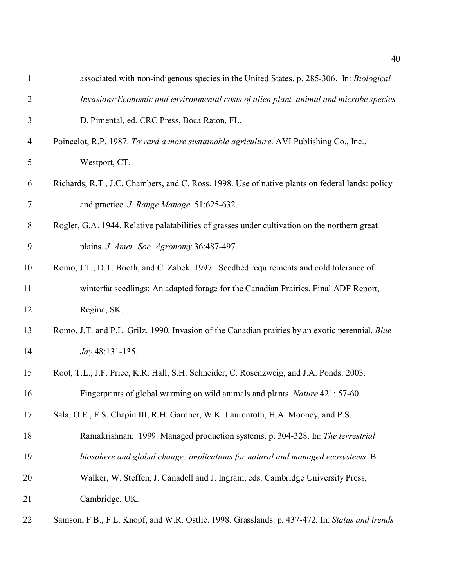| $\mathbf{1}$   | associated with non-indigenous species in the United States. p. 285-306. In: Biological         |
|----------------|-------------------------------------------------------------------------------------------------|
| $\overline{2}$ | Invasions: Economic and environmental costs of alien plant, animal and microbe species.         |
| 3              | D. Pimental, ed. CRC Press, Boca Raton, FL.                                                     |
| $\overline{4}$ | Poincelot, R.P. 1987. Toward a more sustainable agriculture. AVI Publishing Co., Inc.,          |
| 5              | Westport, CT.                                                                                   |
| 6              | Richards, R.T., J.C. Chambers, and C. Ross. 1998. Use of native plants on federal lands: policy |
| 7              | and practice. J. Range Manage. 51:625-632.                                                      |
| $8\,$          | Rogler, G.A. 1944. Relative palatabilities of grasses under cultivation on the northern great   |
| 9              | plains. J. Amer. Soc. Agronomy 36:487-497.                                                      |
| 10             | Romo, J.T., D.T. Booth, and C. Zabek. 1997. Seedbed requirements and cold tolerance of          |
| 11             | winterfat seedlings: An adapted forage for the Canadian Prairies. Final ADF Report,             |
| 12             | Regina, SK.                                                                                     |
| 13             | Romo, J.T. and P.L. Grilz. 1990. Invasion of the Canadian prairies by an exotic perennial. Blue |
| 14             | Jay 48:131-135.                                                                                 |
| 15             | Root, T.L., J.F. Price, K.R. Hall, S.H. Schneider, C. Rosenzweig, and J.A. Ponds. 2003.         |
| 16             | Fingerprints of global warming on wild animals and plants. Nature 421: 57-60.                   |
| 17             | Sala, O.E., F.S. Chapin III, R.H. Gardner, W.K. Laurenroth, H.A. Mooney, and P.S.               |
| 18             | Ramakrishnan. 1999. Managed production systems. p. 304-328. In: The terrestrial                 |
| 19             | biosphere and global change: implications for natural and managed ecosystems. B.                |
| 20             | Walker, W. Steffen, J. Canadell and J. Ingram, eds. Cambridge University Press,                 |
| 21             | Cambridge, UK.                                                                                  |
| 22             | Samson, F.B., F.L. Knopf, and W.R. Ostlie. 1998. Grasslands. p. 437-472. In: Status and trends  |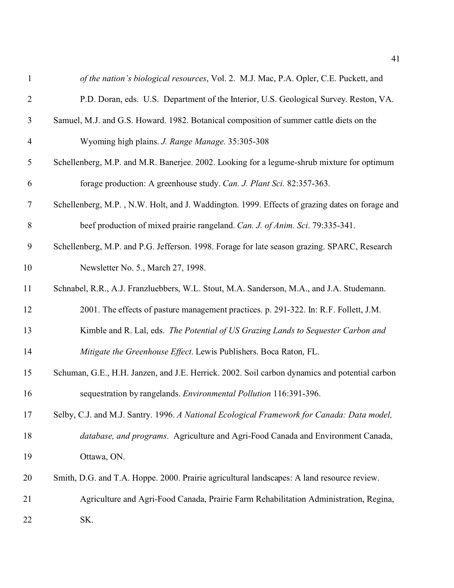| $\mathbf{1}$   | of the nation's biological resources, Vol. 2. M.J. Mac, P.A. Opler, C.E. Puckett, and          |
|----------------|------------------------------------------------------------------------------------------------|
| $\overline{2}$ | P.D. Doran, eds. U.S. Department of the Interior, U.S. Geological Survey. Reston, VA.          |
| 3              | Samuel, M.J. and G.S. Howard. 1982. Botanical composition of summer cattle diets on the        |
| $\overline{4}$ | Wyoming high plains. J. Range Manage. 35:305-308                                               |
| 5              | Schellenberg, M.P. and M.R. Banerjee. 2002. Looking for a legume-shrub mixture for optimum     |
| 6              | forage production: A greenhouse study. Can. J. Plant Sci. 82:357-363.                          |
| $\tau$         | Schellenberg, M.P., N.W. Holt, and J. Waddington. 1999. Effects of grazing dates on forage and |
| 8              | beef production of mixed prairie rangeland. Can. J. of Anim. Sci. 79:335-341.                  |
| 9              | Schellenberg, M.P. and P.G. Jefferson. 1998. Forage for late season grazing. SPARC, Research   |
| 10             | Newsletter No. 5., March 27, 1998.                                                             |
| 11             | Schnabel, R.R., A.J. Franzluebbers, W.L. Stout, M.A. Sanderson, M.A., and J.A. Studemann.      |
| 12             | 2001. The effects of pasture management practices. p. 291-322. In: R.F. Follett, J.M.          |
| 13             | Kimble and R. Lal, eds. The Potential of US Grazing Lands to Sequester Carbon and              |
| 14             | Mitigate the Greenhouse Effect. Lewis Publishers. Boca Raton, FL.                              |
| 15             | Schuman, G.E., H.H. Janzen, and J.E. Herrick. 2002. Soil carbon dynamics and potential carbon  |
| 16             | sequestration by rangelands. Environmental Pollution 116:391-396.                              |
| 17             | Selby, C.J. and M.J. Santry. 1996. A National Ecological Framework for Canada: Data model,     |
| 18             | database, and programs. Agriculture and Agri-Food Canada and Environment Canada,               |
| 19             | Ottawa, ON.                                                                                    |
| 20             | Smith, D.G. and T.A. Hoppe. 2000. Prairie agricultural landscapes: A land resource review.     |
| 21             | Agriculture and Agri-Food Canada, Prairie Farm Rehabilitation Administration, Regina,          |
| 22             | SK.                                                                                            |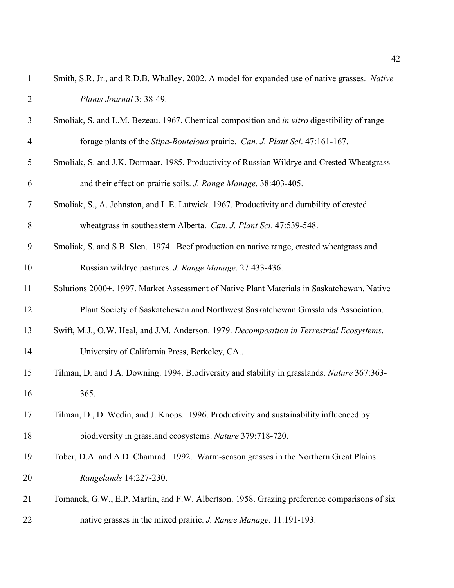| $\mathbf{1}$   | Smith, S.R. Jr., and R.D.B. Whalley. 2002. A model for expanded use of native grasses. Native |
|----------------|-----------------------------------------------------------------------------------------------|
| $\overline{2}$ | Plants Journal 3: 38-49.                                                                      |
| 3              | Smoliak, S. and L.M. Bezeau. 1967. Chemical composition and in vitro digestibility of range   |
| 4              | forage plants of the Stipa-Bouteloua prairie. Can. J. Plant Sci. 47:161-167.                  |
| 5              | Smoliak, S. and J.K. Dormaar. 1985. Productivity of Russian Wildrye and Crested Wheatgrass    |
| 6              | and their effect on prairie soils. J. Range Manage. 38:403-405.                               |
| 7              | Smoliak, S., A. Johnston, and L.E. Lutwick. 1967. Productivity and durability of crested      |
| 8              | wheatgrass in southeastern Alberta. Can. J. Plant Sci. 47:539-548.                            |
| 9              | Smoliak, S. and S.B. Slen. 1974. Beef production on native range, crested wheatgrass and      |
| 10             | Russian wildrye pastures. J. Range Manage. 27:433-436.                                        |
| 11             | Solutions 2000+. 1997. Market Assessment of Native Plant Materials in Saskatchewan. Native    |
| 12             | Plant Society of Saskatchewan and Northwest Saskatchewan Grasslands Association.              |
| 13             | Swift, M.J., O.W. Heal, and J.M. Anderson. 1979. Decomposition in Terrestrial Ecosystems.     |
| 14             | University of California Press, Berkeley, CA                                                  |
| 15             | Tilman, D. and J.A. Downing. 1994. Biodiversity and stability in grasslands. Nature 367:363-  |
| 16             | 365.                                                                                          |
| 17             | Tilman, D., D. Wedin, and J. Knops. 1996. Productivity and sustainability influenced by       |
| 18             | biodiversity in grassland ecosystems. Nature 379:718-720.                                     |
| 19             | Tober, D.A. and A.D. Chamrad. 1992. Warm-season grasses in the Northern Great Plains.         |
| 20             | Rangelands 14:227-230.                                                                        |
| 21             | Tomanek, G.W., E.P. Martin, and F.W. Albertson. 1958. Grazing preference comparisons of six   |
| 22             | native grasses in the mixed prairie. J. Range Manage. 11:191-193.                             |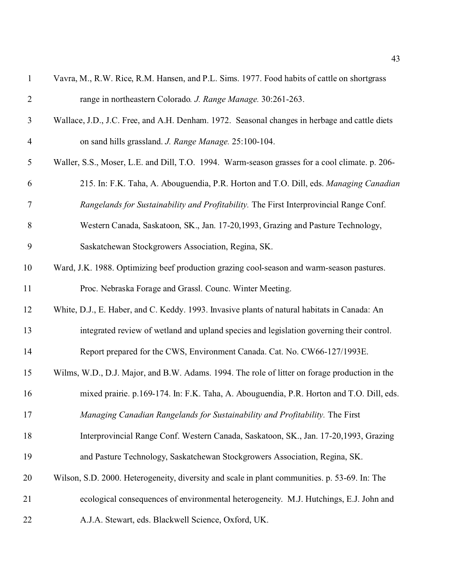| $\mathbf{1}$   | Vavra, M., R.W. Rice, R.M. Hansen, and P.L. Sims. 1977. Food habits of cattle on shortgrass    |
|----------------|------------------------------------------------------------------------------------------------|
| $\overline{2}$ | range in northeastern Colorado. J. Range Manage. 30:261-263.                                   |
| 3              | Wallace, J.D., J.C. Free, and A.H. Denham. 1972. Seasonal changes in herbage and cattle diets  |
| $\overline{4}$ | on sand hills grassland. J. Range Manage. 25:100-104.                                          |
| 5              | Waller, S.S., Moser, L.E. and Dill, T.O. 1994. Warm-season grasses for a cool climate. p. 206- |
| 6              | 215. In: F.K. Taha, A. Abouguendia, P.R. Horton and T.O. Dill, eds. Managing Canadian          |
| 7              | Rangelands for Sustainability and Profitability. The First Interprovincial Range Conf.         |
| $8\,$          | Western Canada, Saskatoon, SK., Jan. 17-20, 1993, Grazing and Pasture Technology,              |
| 9              | Saskatchewan Stockgrowers Association, Regina, SK.                                             |
| 10             | Ward, J.K. 1988. Optimizing beef production grazing cool-season and warm-season pastures.      |
| 11             | Proc. Nebraska Forage and Grassl. Counc. Winter Meeting.                                       |
| 12             | White, D.J., E. Haber, and C. Keddy. 1993. Invasive plants of natural habitats in Canada: An   |
| 13             | integrated review of wetland and upland species and legislation governing their control.       |
| 14             | Report prepared for the CWS, Environment Canada. Cat. No. CW66-127/1993E.                      |
| 15             | Wilms, W.D., D.J. Major, and B.W. Adams. 1994. The role of litter on forage production in the  |
| 16             | mixed prairie. p.169-174. In: F.K. Taha, A. Abouguendia, P.R. Horton and T.O. Dill, eds.       |
| 17             | Managing Canadian Rangelands for Sustainability and Profitability. The First                   |
| 18             | Interprovincial Range Conf. Western Canada, Saskatoon, SK., Jan. 17-20,1993, Grazing           |
| 19             | and Pasture Technology, Saskatchewan Stockgrowers Association, Regina, SK.                     |
| 20             | Wilson, S.D. 2000. Heterogeneity, diversity and scale in plant communities. p. 53-69. In: The  |
| 21             | ecological consequences of environmental heterogeneity. M.J. Hutchings, E.J. John and          |
| 22             | A.J.A. Stewart, eds. Blackwell Science, Oxford, UK.                                            |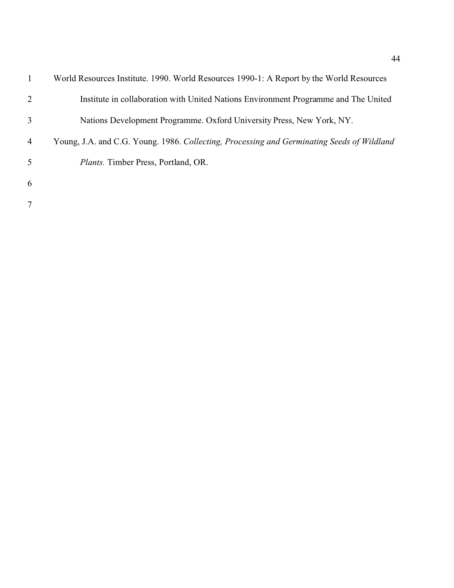|                | World Resources Institute. 1990. World Resources 1990-1: A Report by the World Resources   |
|----------------|--------------------------------------------------------------------------------------------|
| 2              | Institute in collaboration with United Nations Environment Programme and The United        |
| 3              | Nations Development Programme. Oxford University Press, New York, NY.                      |
| $\overline{4}$ | Young, J.A. and C.G. Young. 1986. Collecting, Processing and Germinating Seeds of Wildland |
| 5              | <i>Plants.</i> Timber Press, Portland, OR.                                                 |
| 6              |                                                                                            |
| 7              |                                                                                            |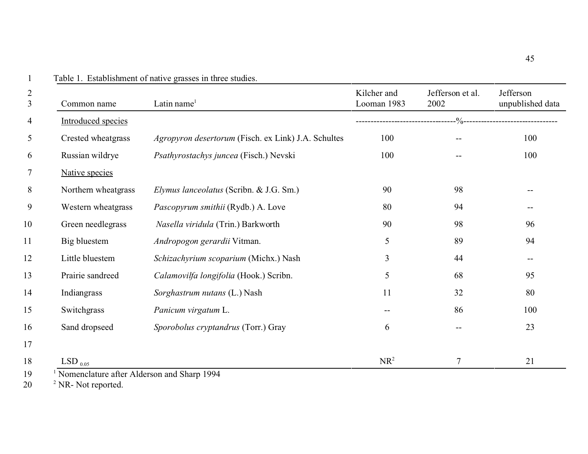| $\overline{2}$<br>$\overline{3}$ | Common name                                                 | Latin name <sup>1</sup>                             | Kilcher and<br>Looman 1983 | Jefferson et al.<br>2002 | Jefferson<br>unpublished data |
|----------------------------------|-------------------------------------------------------------|-----------------------------------------------------|----------------------------|--------------------------|-------------------------------|
| $\overline{4}$                   | <b>Introduced species</b>                                   |                                                     |                            |                          |                               |
| $\overline{5}$                   | Crested wheatgrass                                          | Agropyron desertorum (Fisch. ex Link) J.A. Schultes | 100                        |                          | 100                           |
| 6                                | Russian wildrye                                             | Psathyrostachys juncea (Fisch.) Nevski              | 100                        |                          | 100                           |
| $\tau$                           | Native species                                              |                                                     |                            |                          |                               |
| 8                                | Northern wheatgrass                                         | Elymus lanceolatus (Scribn. & J.G. Sm.)             | 90                         | 98                       |                               |
| 9                                | Western wheatgrass                                          | Pascopyrum smithii (Rydb.) A. Love                  | 80                         | 94                       |                               |
| 10                               | Green needlegrass                                           | Nasella viridula (Trin.) Barkworth                  | 90                         | 98                       | 96                            |
| 11                               | Big bluestem                                                | Andropogon gerardii Vitman.                         | 5                          | 89                       | 94                            |
| 12                               | Little bluestem                                             | Schizachyrium scoparium (Michx.) Nash               | 3                          | 44                       |                               |
| 13                               | Prairie sandreed                                            | Calamovilfa longifolia (Hook.) Scribn.              | 5                          | 68                       | 95                            |
| 14                               | Indiangrass                                                 | Sorghastrum nutans (L.) Nash                        | 11                         | 32                       | 80                            |
| 15                               | Switchgrass                                                 | Panicum virgatum L.                                 | $\qquad \qquad -$          | 86                       | 100                           |
| 16                               | Sand dropseed                                               | Sporobolus cryptandrus (Torr.) Gray                 | 6                          |                          | 23                            |
| 17                               |                                                             |                                                     |                            |                          |                               |
| 18<br>1 <sub>0</sub>             | LSD $_{0.05}$<br>Momenalature often Alderson and Shame 1004 |                                                     | NR <sup>2</sup>            | 7                        | 21                            |

Table 1. Establishment of native grasses in three studies.

1 19 Nomenclature after Alderson and Sharp 1994

 $20 \qquad$  <sup>2</sup> NR- Not reported.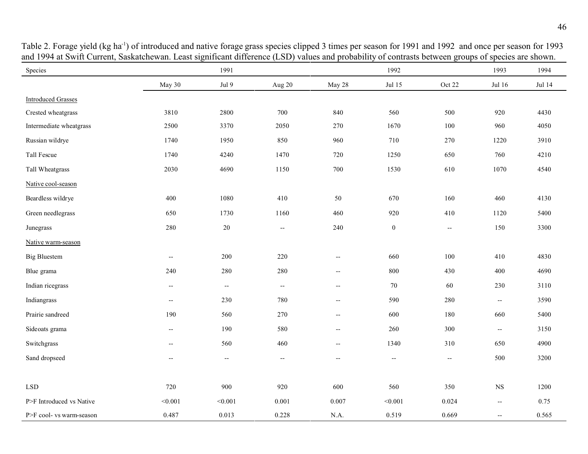| Species                     |                          | 1991                     |                          |                          | 1992                     |                          | 1993                                          | 1994   |
|-----------------------------|--------------------------|--------------------------|--------------------------|--------------------------|--------------------------|--------------------------|-----------------------------------------------|--------|
|                             | May 30                   | Jul 9                    | Aug 20                   | May 28                   | Jul 15                   | Oct 22                   | Jul 16                                        | Jul 14 |
| <b>Introduced Grasses</b>   |                          |                          |                          |                          |                          |                          |                                               |        |
| Crested wheatgrass          | 3810                     | 2800                     | 700                      | 840                      | 560                      | 500                      | 920                                           | 4430   |
| Intermediate wheatgrass     | 2500                     | 3370                     | 2050                     | 270                      | 1670                     | 100                      | 960                                           | 4050   |
| Russian wildrye             | 1740                     | 1950                     | 850                      | 960                      | 710                      | 270                      | 1220                                          | 3910   |
| Tall Fescue                 | 1740                     | 4240                     | 1470                     | 720                      | 1250                     | 650                      | 760                                           | 4210   |
| Tall Wheatgrass             | 2030                     | 4690                     | 1150                     | 700                      | 1530                     | 610                      | 1070                                          | 4540   |
| Native cool-season          |                          |                          |                          |                          |                          |                          |                                               |        |
| Beardless wildrye           | 400                      | 1080                     | 410                      | 50                       | 670                      | 160                      | 460                                           | 4130   |
| Green needlegrass           | 650                      | 1730                     | 1160                     | 460                      | 920                      | 410                      | 1120                                          | 5400   |
| Junegrass                   | 280                      | $20\,$                   | $\overline{\phantom{a}}$ | 240                      | $\boldsymbol{0}$         | $-\!$                    | 150                                           | 3300   |
| Native warm-season          |                          |                          |                          |                          |                          |                          |                                               |        |
| <b>Big Bluestem</b>         | $\overline{\phantom{a}}$ | 200                      | 220                      | $\overline{\phantom{a}}$ | 660                      | 100                      | 410                                           | 4830   |
| Blue grama                  | 240                      | 280                      | 280                      | $\overline{\phantom{a}}$ | 800                      | 430                      | 400                                           | 4690   |
| Indian ricegrass            | $\overline{\phantom{a}}$ | $\overline{\phantom{a}}$ | $\overline{\phantom{a}}$ | $\overline{\phantom{a}}$ | 70                       | 60                       | 230                                           | 3110   |
| Indiangrass                 | $\overline{\phantom{a}}$ | 230                      | 780                      | $\overline{\phantom{a}}$ | 590                      | 280                      | $\overline{\phantom{a}}$                      | 3590   |
| Prairie sandreed            | 190                      | 560                      | 270                      | $\overline{\phantom{a}}$ | 600                      | 180                      | 660                                           | 5400   |
| Sideoats grama              | $\overline{\phantom{a}}$ | 190                      | 580                      | $\overline{\phantom{a}}$ | 260                      | 300                      | $\mathord{\hspace{1pt}\text{--}\hspace{1pt}}$ | 3150   |
| Switchgrass                 | $\overline{\phantom{a}}$ | 560                      | 460                      | $\overline{\phantom{a}}$ | 1340                     | 310                      | 650                                           | 4900   |
| Sand dropseed               | $\overline{\phantom{a}}$ | $\overline{\phantom{m}}$ | $- -$                    | $\overline{\phantom{a}}$ | $\overline{\phantom{m}}$ | $\overline{\phantom{a}}$ | 500                                           | 3200   |
|                             |                          |                          |                          |                          |                          |                          |                                               |        |
| $\ensuremath{\mathrm{LSD}}$ | 720                      | 900                      | 920                      | 600                      | 560                      | 350                      | $_{\rm NS}$                                   | 1200   |
| P>F Introduced vs Native    | < 0.001                  | < 0.001                  | 0.001                    | 0.007                    | < 0.001                  | 0.024                    | $\overline{\phantom{a}}$                      | 0.75   |
| P>F cool- vs warm-season    | 0.487                    | 0.013                    | 0.228                    | N.A.                     | 0.519                    | 0.669                    | $\overline{\phantom{m}}$                      | 0.565  |

Table 2. Forage yield (kg ha<sup>-1</sup>) of introduced and native forage grass species clipped 3 times per season for 1991 and 1992 and once per season for 1993 and 1994 at Swift Current, Saskatchewan. Least significant difference (LSD) values and probability of contrasts between groups of species are shown.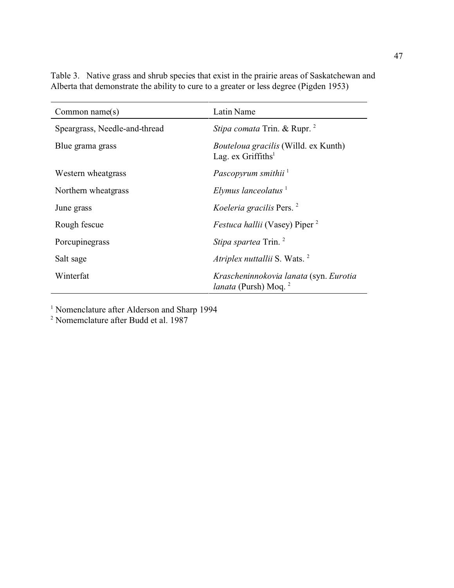| Common name $(s)$             | Latin Name                                                                        |  |  |  |
|-------------------------------|-----------------------------------------------------------------------------------|--|--|--|
| Speargrass, Needle-and-thread | Stipa comata Trin. & Rupr. <sup>2</sup>                                           |  |  |  |
| Blue grama grass              | <i>Bouteloua gracilis</i> (Willd. ex Kunth)<br>Lag. $ex$ Griffiths <sup>1</sup>   |  |  |  |
| Western wheatgrass            | Pascopyrum smithii <sup>1</sup>                                                   |  |  |  |
| Northern wheatgrass           | Elymus lanceolatus $1$                                                            |  |  |  |
| June grass                    | Koeleria gracilis Pers. <sup>2</sup>                                              |  |  |  |
| Rough fescue                  | <i>Festuca hallii</i> (Vasey) Piper <sup>2</sup>                                  |  |  |  |
| Porcupinegrass                | <i>Stipa spartea</i> Trin. <sup>2</sup>                                           |  |  |  |
| Salt sage                     | Atriplex nuttallii S. Wats. <sup>2</sup>                                          |  |  |  |
| Winterfat                     | Krascheninnokovia lanata (syn. Eurotia<br><i>lanata</i> (Pursh) Moq. <sup>2</sup> |  |  |  |

Table 3. Native grass and shrub species that exist in the prairie areas of Saskatchewan and Alberta that demonstrate the ability to cure to a greater or less degree (Pigden 1953)

<sup>1</sup> Nomenclature after Alderson and Sharp 1994

2 Nomemclature after Budd et al. 1987